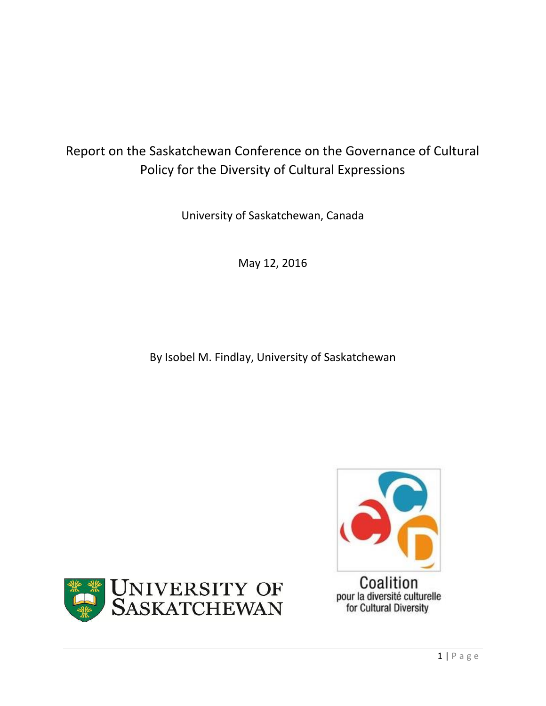# Report on the Saskatchewan Conference on the Governance of Cultural Policy for the Diversity of Cultural Expressions

University of Saskatchewan, Canada

May 12, 2016

By Isobel M. Findlay, University of Saskatchewan



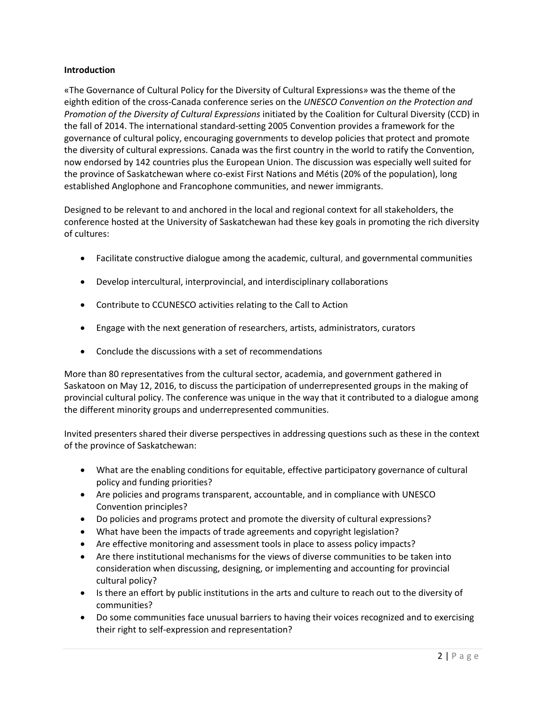## **Introduction**

«The Governance of Cultural Policy for the Diversity of Cultural Expressions» was the theme of the eighth edition of the cross-Canada conference series on the *UNESCO Convention on the Protection and Promotion of the Diversity of Cultural Expressions* initiated by the Coalition for Cultural Diversity (CCD) in the fall of 2014. The international standard-setting 2005 Convention provides a framework for the governance of cultural policy, encouraging governments to develop policies that protect and promote the diversity of cultural expressions. Canada was the first country in the world to ratify the Convention, now endorsed by 142 countries plus the European Union. The discussion was especially well suited for the province of Saskatchewan where co-exist First Nations and Métis (20% of the population), long established Anglophone and Francophone communities, and newer immigrants.

Designed to be relevant to and anchored in the local and regional context for all stakeholders, the conference hosted at the University of Saskatchewan had these key goals in promoting the rich diversity of cultures:

- Facilitate constructive dialogue among the academic, cultural, and governmental communities
- Develop intercultural, interprovincial, and interdisciplinary collaborations
- Contribute to CCUNESCO activities relating to the Call to Action
- Engage with the next generation of researchers, artists, administrators, curators
- Conclude the discussions with a set of recommendations

More than 80 representatives from the cultural sector, academia, and government gathered in Saskatoon on May 12, 2016, to discuss the participation of underrepresented groups in the making of provincial cultural policy. The conference was unique in the way that it contributed to a dialogue among the different minority groups and underrepresented communities.

Invited presenters shared their diverse perspectives in addressing questions such as these in the context of the province of Saskatchewan:

- What are the enabling conditions for equitable, effective participatory governance of cultural policy and funding priorities?
- Are policies and programs transparent, accountable, and in compliance with UNESCO Convention principles?
- Do policies and programs protect and promote the diversity of cultural expressions?
- What have been the impacts of trade agreements and copyright legislation?
- Are effective monitoring and assessment tools in place to assess policy impacts?
- Are there institutional mechanisms for the views of diverse communities to be taken into consideration when discussing, designing, or implementing and accounting for provincial cultural policy?
- Is there an effort by public institutions in the arts and culture to reach out to the diversity of communities?
- Do some communities face unusual barriers to having their voices recognized and to exercising their right to self-expression and representation?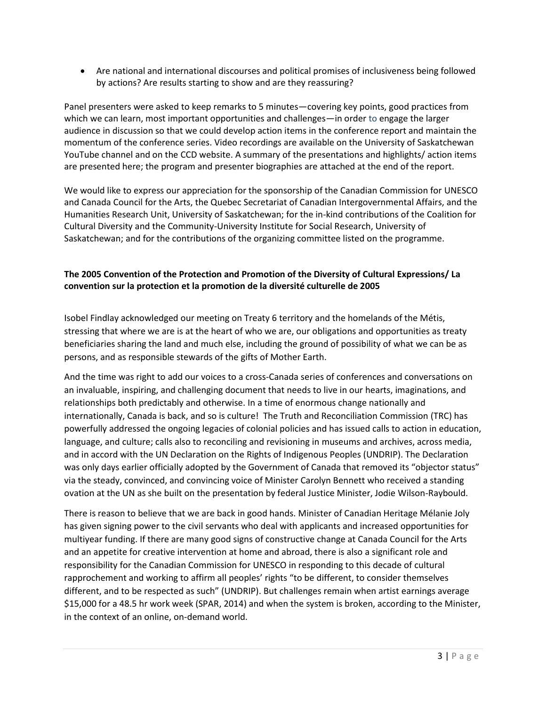Are national and international discourses and political promises of inclusiveness being followed by actions? Are results starting to show and are they reassuring?

Panel presenters were asked to keep remarks to 5 minutes—covering key points, good practices from which we can learn, most important opportunities and challenges—in order to engage the larger audience in discussion so that we could develop action items in the conference report and maintain the momentum of the conference series. Video recordings are available on the University of Saskatchewan YouTube channel and on the CCD website. A summary of the presentations and highlights/ action items are presented here; the program and presenter biographies are attached at the end of the report.

We would like to express our appreciation for the sponsorship of the Canadian Commission for UNESCO and Canada Council for the Arts, the Quebec Secretariat of Canadian Intergovernmental Affairs, and the Humanities Research Unit, University of Saskatchewan; for the in-kind contributions of the Coalition for Cultural Diversity and the Community-University Institute for Social Research, University of Saskatchewan; and for the contributions of the organizing committee listed on the programme.

## **The 2005 Convention of the Protection and Promotion of the Diversity of Cultural Expressions/ La convention sur la protection et la promotion de la diversité culturelle de 2005**

Isobel Findlay acknowledged our meeting on Treaty 6 territory and the homelands of the Métis, stressing that where we are is at the heart of who we are, our obligations and opportunities as treaty beneficiaries sharing the land and much else, including the ground of possibility of what we can be as persons, and as responsible stewards of the gifts of Mother Earth.

And the time was right to add our voices to a cross-Canada series of conferences and conversations on an invaluable, inspiring, and challenging document that needs to live in our hearts, imaginations, and relationships both predictably and otherwise. In a time of enormous change nationally and internationally, Canada is back, and so is culture! The Truth and Reconciliation Commission (TRC) has powerfully addressed the ongoing legacies of colonial policies and has issued calls to action in education, language, and culture; calls also to reconciling and revisioning in museums and archives, across media, and in accord with the UN Declaration on the Rights of Indigenous Peoples (UNDRIP). The Declaration was only days earlier officially adopted by the Government of Canada that removed its "objector status" via the steady, convinced, and convincing voice of Minister Carolyn Bennett who received a standing ovation at the UN as she built on the presentation by federal Justice Minister, Jodie Wilson-Raybould.

There is reason to believe that we are back in good hands. Minister of Canadian Heritage Mélanie Joly has given signing power to the civil servants who deal with applicants and increased opportunities for multiyear funding. If there are many good signs of constructive change at Canada Council for the Arts and an appetite for creative intervention at home and abroad, there is also a significant role and responsibility for the Canadian Commission for UNESCO in responding to this decade of cultural rapprochement and working to affirm all peoples' rights "to be different, to consider themselves different, and to be respected as such" (UNDRIP). But challenges remain when artist earnings average \$15,000 for a 48.5 hr work week (SPAR, 2014) and when the system is broken, according to the Minister, in the context of an online, on-demand world.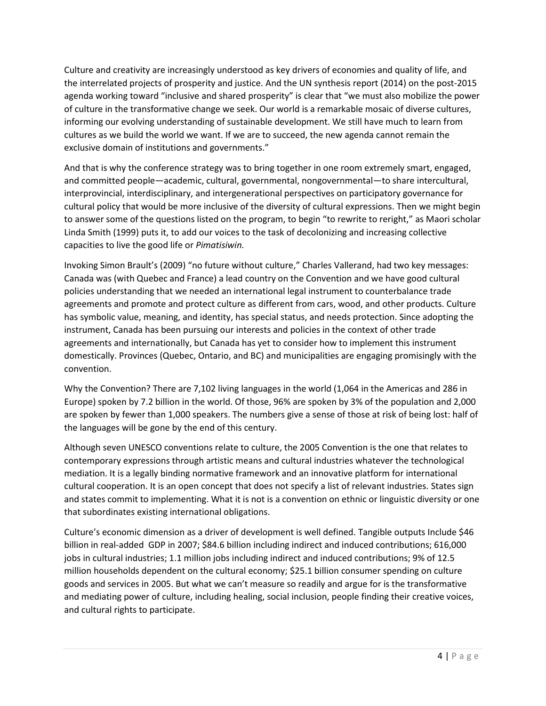Culture and creativity are increasingly understood as key drivers of economies and quality of life, and the interrelated projects of prosperity and justice. And the UN synthesis report (2014) on the post-2015 agenda working toward "inclusive and shared prosperity" is clear that "we must also mobilize the power of culture in the transformative change we seek. Our world is a remarkable mosaic of diverse cultures, informing our evolving understanding of sustainable development. We still have much to learn from cultures as we build the world we want. If we are to succeed, the new agenda cannot remain the exclusive domain of institutions and governments."

And that is why the conference strategy was to bring together in one room extremely smart, engaged, and committed people—academic, cultural, governmental, nongovernmental—to share intercultural, interprovincial, interdisciplinary, and intergenerational perspectives on participatory governance for cultural policy that would be more inclusive of the diversity of cultural expressions. Then we might begin to answer some of the questions listed on the program, to begin "to rewrite to reright," as Maori scholar Linda Smith (1999) puts it, to add our voices to the task of decolonizing and increasing collective capacities to live the good life or *Pimatisiwin.*

Invoking Simon Brault's (2009) "no future without culture," Charles Vallerand, had two key messages: Canada was (with Quebec and France) a lead country on the Convention and we have good cultural policies understanding that we needed an international legal instrument to counterbalance trade agreements and promote and protect culture as different from cars, wood, and other products. Culture has symbolic value, meaning, and identity, has special status, and needs protection. Since adopting the instrument, Canada has been pursuing our interests and policies in the context of other trade agreements and internationally, but Canada has yet to consider how to implement this instrument domestically. Provinces (Quebec, Ontario, and BC) and municipalities are engaging promisingly with the convention.

Why the Convention? There are 7,102 living languages in the world (1,064 in the Americas and 286 in Europe) spoken by 7.2 billion in the world. Of those, 96% are spoken by 3% of the population and 2,000 are spoken by fewer than 1,000 speakers. The numbers give a sense of those at risk of being lost: half of the languages will be gone by the end of this century.

Although seven UNESCO conventions relate to culture, the 2005 Convention is the one that relates to contemporary expressions through artistic means and cultural industries whatever the technological mediation. It is a legally binding normative framework and an innovative platform for international cultural cooperation. It is an open concept that does not specify a list of relevant industries. States sign and states commit to implementing. What it is not is a convention on ethnic or linguistic diversity or one that subordinates existing international obligations.

Culture's economic dimension as a driver of development is well defined. Tangible outputs Include \$46 billion in real-added GDP in 2007; \$84.6 billion including indirect and induced contributions; 616,000 jobs in cultural industries; 1.1 million jobs including indirect and induced contributions; 9% of 12.5 million households dependent on the cultural economy; \$25.1 billion consumer spending on culture goods and services in 2005. But what we can't measure so readily and argue for is the transformative and mediating power of culture, including healing, social inclusion, people finding their creative voices, and cultural rights to participate.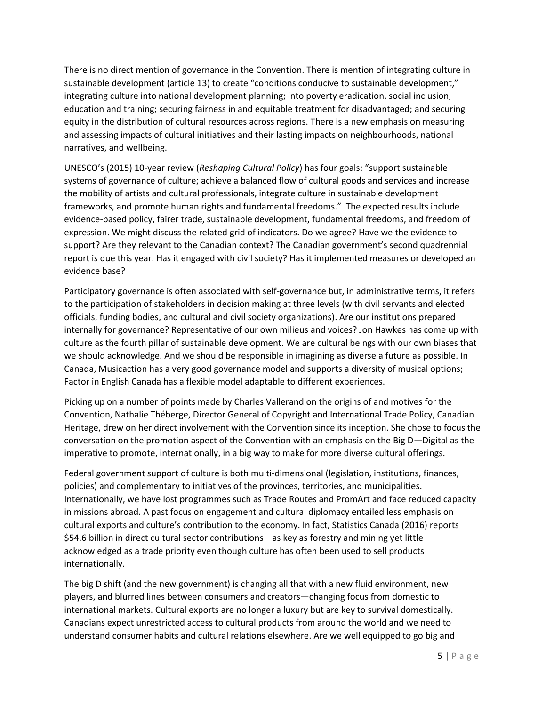There is no direct mention of governance in the Convention. There is mention of integrating culture in sustainable development (article 13) to create "conditions conducive to sustainable development," integrating culture into national development planning; into poverty eradication, social inclusion, education and training; securing fairness in and equitable treatment for disadvantaged; and securing equity in the distribution of cultural resources across regions. There is a new emphasis on measuring and assessing impacts of cultural initiatives and their lasting impacts on neighbourhoods, national narratives, and wellbeing.

UNESCO's (2015) 10-year review (*Reshaping Cultural Policy*) has four goals: "support sustainable systems of governance of culture; achieve a balanced flow of cultural goods and services and increase the mobility of artists and cultural professionals, integrate culture in sustainable development frameworks, and promote human rights and fundamental freedoms." The expected results include evidence-based policy, fairer trade, sustainable development, fundamental freedoms, and freedom of expression. We might discuss the related grid of indicators. Do we agree? Have we the evidence to support? Are they relevant to the Canadian context? The Canadian government's second quadrennial report is due this year. Has it engaged with civil society? Has it implemented measures or developed an evidence base?

Participatory governance is often associated with self-governance but, in administrative terms, it refers to the participation of stakeholders in decision making at three levels (with civil servants and elected officials, funding bodies, and cultural and civil society organizations). Are our institutions prepared internally for governance? Representative of our own milieus and voices? Jon Hawkes has come up with culture as the fourth pillar of sustainable development. We are cultural beings with our own biases that we should acknowledge. And we should be responsible in imagining as diverse a future as possible. In Canada, Musicaction has a very good governance model and supports a diversity of musical options; Factor in English Canada has a flexible model adaptable to different experiences.

Picking up on a number of points made by Charles Vallerand on the origins of and motives for the Convention, Nathalie Théberge, Director General of Copyright and International Trade Policy, Canadian Heritage, drew on her direct involvement with the Convention since its inception. She chose to focus the conversation on the promotion aspect of the Convention with an emphasis on the Big D—Digital as the imperative to promote, internationally, in a big way to make for more diverse cultural offerings.

Federal government support of culture is both multi-dimensional (legislation, institutions, finances, policies) and complementary to initiatives of the provinces, territories, and municipalities. Internationally, we have lost programmes such as Trade Routes and PromArt and face reduced capacity in missions abroad. A past focus on engagement and cultural diplomacy entailed less emphasis on cultural exports and culture's contribution to the economy. In fact, Statistics Canada (2016) reports \$54.6 billion in direct cultural sector contributions—as key as forestry and mining yet little acknowledged as a trade priority even though culture has often been used to sell products internationally.

The big D shift (and the new government) is changing all that with a new fluid environment, new players, and blurred lines between consumers and creators—changing focus from domestic to international markets. Cultural exports are no longer a luxury but are key to survival domestically. Canadians expect unrestricted access to cultural products from around the world and we need to understand consumer habits and cultural relations elsewhere. Are we well equipped to go big and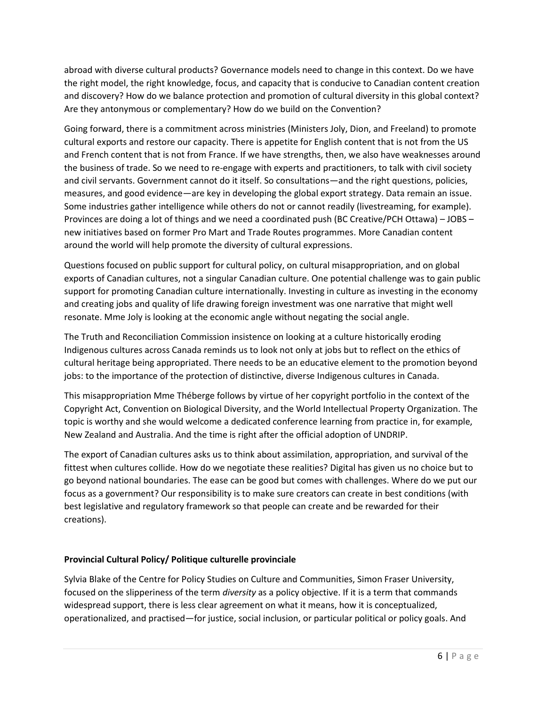abroad with diverse cultural products? Governance models need to change in this context. Do we have the right model, the right knowledge, focus, and capacity that is conducive to Canadian content creation and discovery? How do we balance protection and promotion of cultural diversity in this global context? Are they antonymous or complementary? How do we build on the Convention?

Going forward, there is a commitment across ministries (Ministers Joly, Dion, and Freeland) to promote cultural exports and restore our capacity. There is appetite for English content that is not from the US and French content that is not from France. If we have strengths, then, we also have weaknesses around the business of trade. So we need to re-engage with experts and practitioners, to talk with civil society and civil servants. Government cannot do it itself. So consultations—and the right questions, policies, measures, and good evidence—are key in developing the global export strategy. Data remain an issue. Some industries gather intelligence while others do not or cannot readily (livestreaming, for example). Provinces are doing a lot of things and we need a coordinated push (BC Creative/PCH Ottawa) – JOBS – new initiatives based on former Pro Mart and Trade Routes programmes. More Canadian content around the world will help promote the diversity of cultural expressions.

Questions focused on public support for cultural policy, on cultural misappropriation, and on global exports of Canadian cultures, not a singular Canadian culture. One potential challenge was to gain public support for promoting Canadian culture internationally. Investing in culture as investing in the economy and creating jobs and quality of life drawing foreign investment was one narrative that might well resonate. Mme Joly is looking at the economic angle without negating the social angle.

The Truth and Reconciliation Commission insistence on looking at a culture historically eroding Indigenous cultures across Canada reminds us to look not only at jobs but to reflect on the ethics of cultural heritage being appropriated. There needs to be an educative element to the promotion beyond jobs: to the importance of the protection of distinctive, diverse Indigenous cultures in Canada.

This misappropriation Mme Théberge follows by virtue of her copyright portfolio in the context of the Copyright Act, Convention on Biological Diversity, and the World Intellectual Property Organization. The topic is worthy and she would welcome a dedicated conference learning from practice in, for example, New Zealand and Australia. And the time is right after the official adoption of UNDRIP.

The export of Canadian cultures asks us to think about assimilation, appropriation, and survival of the fittest when cultures collide. How do we negotiate these realities? Digital has given us no choice but to go beyond national boundaries. The ease can be good but comes with challenges. Where do we put our focus as a government? Our responsibility is to make sure creators can create in best conditions (with best legislative and regulatory framework so that people can create and be rewarded for their creations).

## **Provincial Cultural Policy/ Politique culturelle provinciale**

Sylvia Blake of the Centre for Policy Studies on Culture and Communities, Simon Fraser University, focused on the slipperiness of the term *diversity* as a policy objective. If it is a term that commands widespread support, there is less clear agreement on what it means, how it is conceptualized, operationalized, and practised—for justice, social inclusion, or particular political or policy goals. And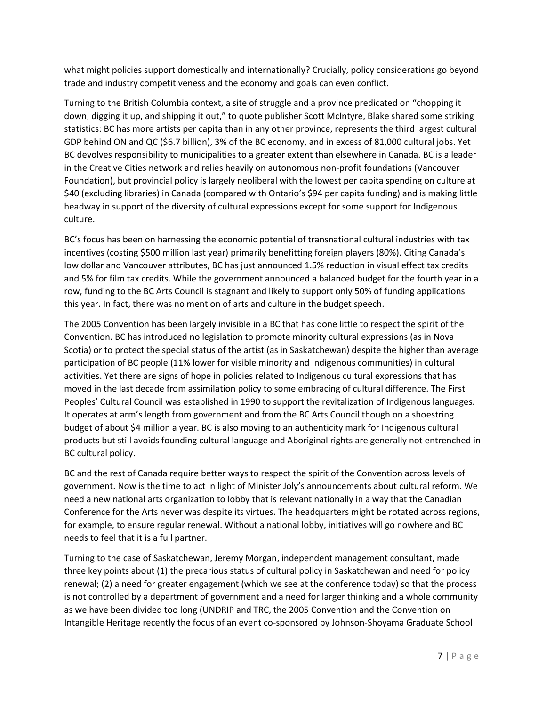what might policies support domestically and internationally? Crucially, policy considerations go beyond trade and industry competitiveness and the economy and goals can even conflict.

Turning to the British Columbia context, a site of struggle and a province predicated on "chopping it down, digging it up, and shipping it out," to quote publisher Scott McIntyre, Blake shared some striking statistics: BC has more artists per capita than in any other province, represents the third largest cultural GDP behind ON and QC (\$6.7 billion), 3% of the BC economy, and in excess of 81,000 cultural jobs. Yet BC devolves responsibility to municipalities to a greater extent than elsewhere in Canada. BC is a leader in the Creative Cities network and relies heavily on autonomous non-profit foundations (Vancouver Foundation), but provincial policy is largely neoliberal with the lowest per capita spending on culture at \$40 (excluding libraries) in Canada (compared with Ontario's \$94 per capita funding) and is making little headway in support of the diversity of cultural expressions except for some support for Indigenous culture.

BC's focus has been on harnessing the economic potential of transnational cultural industries with tax incentives (costing \$500 million last year) primarily benefitting foreign players (80%). Citing Canada's low dollar and Vancouver attributes, BC has just announced 1.5% reduction in visual effect tax credits and 5% for film tax credits. While the government announced a balanced budget for the fourth year in a row, funding to the BC Arts Council is stagnant and likely to support only 50% of funding applications this year. In fact, there was no mention of arts and culture in the budget speech.

The 2005 Convention has been largely invisible in a BC that has done little to respect the spirit of the Convention. BC has introduced no legislation to promote minority cultural expressions (as in Nova Scotia) or to protect the special status of the artist (as in Saskatchewan) despite the higher than average participation of BC people (11% lower for visible minority and Indigenous communities) in cultural activities. Yet there are signs of hope in policies related to Indigenous cultural expressions that has moved in the last decade from assimilation policy to some embracing of cultural difference. The First Peoples' Cultural Council was established in 1990 to support the revitalization of Indigenous languages. It operates at arm's length from government and from the BC Arts Council though on a shoestring budget of about \$4 million a year. BC is also moving to an authenticity mark for Indigenous cultural products but still avoids founding cultural language and Aboriginal rights are generally not entrenched in BC cultural policy.

BC and the rest of Canada require better ways to respect the spirit of the Convention across levels of government. Now is the time to act in light of Minister Joly's announcements about cultural reform. We need a new national arts organization to lobby that is relevant nationally in a way that the Canadian Conference for the Arts never was despite its virtues. The headquarters might be rotated across regions, for example, to ensure regular renewal. Without a national lobby, initiatives will go nowhere and BC needs to feel that it is a full partner.

Turning to the case of Saskatchewan, Jeremy Morgan, independent management consultant, made three key points about (1) the precarious status of cultural policy in Saskatchewan and need for policy renewal; (2) a need for greater engagement (which we see at the conference today) so that the process is not controlled by a department of government and a need for larger thinking and a whole community as we have been divided too long (UNDRIP and TRC, the 2005 Convention and the Convention on Intangible Heritage recently the focus of an event co-sponsored by Johnson-Shoyama Graduate School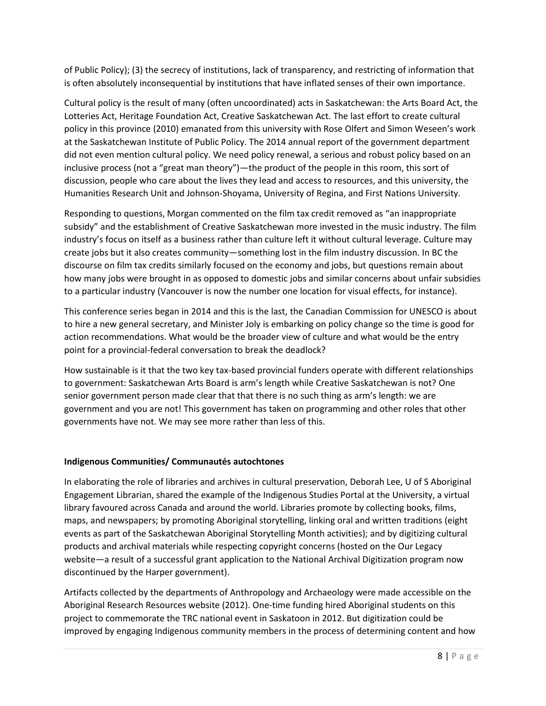of Public Policy); (3) the secrecy of institutions, lack of transparency, and restricting of information that is often absolutely inconsequential by institutions that have inflated senses of their own importance.

Cultural policy is the result of many (often uncoordinated) acts in Saskatchewan: the Arts Board Act, the Lotteries Act, Heritage Foundation Act, Creative Saskatchewan Act. The last effort to create cultural policy in this province (2010) emanated from this university with Rose Olfert and Simon Weseen's work at the Saskatchewan Institute of Public Policy. The 2014 annual report of the government department did not even mention cultural policy. We need policy renewal, a serious and robust policy based on an inclusive process (not a "great man theory")—the product of the people in this room, this sort of discussion, people who care about the lives they lead and access to resources, and this university, the Humanities Research Unit and Johnson-Shoyama, University of Regina, and First Nations University.

Responding to questions, Morgan commented on the film tax credit removed as "an inappropriate subsidy" and the establishment of Creative Saskatchewan more invested in the music industry. The film industry's focus on itself as a business rather than culture left it without cultural leverage. Culture may create jobs but it also creates community—something lost in the film industry discussion. In BC the discourse on film tax credits similarly focused on the economy and jobs, but questions remain about how many jobs were brought in as opposed to domestic jobs and similar concerns about unfair subsidies to a particular industry (Vancouver is now the number one location for visual effects, for instance).

This conference series began in 2014 and this is the last, the Canadian Commission for UNESCO is about to hire a new general secretary, and Minister Joly is embarking on policy change so the time is good for action recommendations. What would be the broader view of culture and what would be the entry point for a provincial-federal conversation to break the deadlock?

How sustainable is it that the two key tax-based provincial funders operate with different relationships to government: Saskatchewan Arts Board is arm's length while Creative Saskatchewan is not? One senior government person made clear that that there is no such thing as arm's length: we are government and you are not! This government has taken on programming and other roles that other governments have not. We may see more rather than less of this.

## **Indigenous Communities/ Communautés autochtones**

In elaborating the role of libraries and archives in cultural preservation, Deborah Lee, U of S Aboriginal Engagement Librarian, shared the example of the Indigenous Studies Portal at the University, a virtual library favoured across Canada and around the world. Libraries promote by collecting books, films, maps, and newspapers; by promoting Aboriginal storytelling, linking oral and written traditions (eight events as part of the Saskatchewan Aboriginal Storytelling Month activities); and by digitizing cultural products and archival materials while respecting copyright concerns (hosted on the Our Legacy website—a result of a successful grant application to the National Archival Digitization program now discontinued by the Harper government).

Artifacts collected by the departments of Anthropology and Archaeology were made accessible on the Aboriginal Research Resources website (2012). One-time funding hired Aboriginal students on this project to commemorate the TRC national event in Saskatoon in 2012. But digitization could be improved by engaging Indigenous community members in the process of determining content and how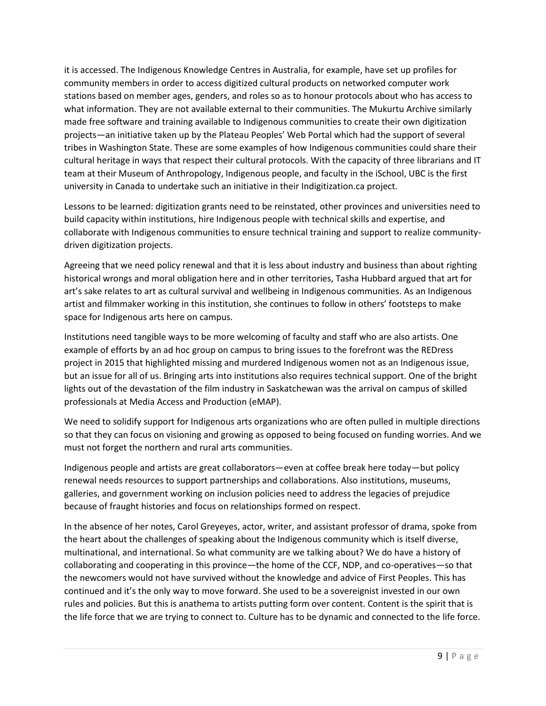it is accessed. The Indigenous Knowledge Centres in Australia, for example, have set up profiles for community members in order to access digitized cultural products on networked computer work stations based on member ages, genders, and roles so as to honour protocols about who has access to what information. They are not available external to their communities. The Mukurtu Archive similarly made free software and training available to Indigenous communities to create their own digitization projects—an initiative taken up by the Plateau Peoples' Web Portal which had the support of several tribes in Washington State. These are some examples of how Indigenous communities could share their cultural heritage in ways that respect their cultural protocols. With the capacity of three librarians and IT team at their Museum of Anthropology, Indigenous people, and faculty in the iSchool, UBC is the first university in Canada to undertake such an initiative in their Indigitization.ca project.

Lessons to be learned: digitization grants need to be reinstated, other provinces and universities need to build capacity within institutions, hire Indigenous people with technical skills and expertise, and collaborate with Indigenous communities to ensure technical training and support to realize communitydriven digitization projects.

Agreeing that we need policy renewal and that it is less about industry and business than about righting historical wrongs and moral obligation here and in other territories, Tasha Hubbard argued that art for art's sake relates to art as cultural survival and wellbeing in Indigenous communities. As an Indigenous artist and filmmaker working in this institution, she continues to follow in others' footsteps to make space for Indigenous arts here on campus.

Institutions need tangible ways to be more welcoming of faculty and staff who are also artists. One example of efforts by an ad hoc group on campus to bring issues to the forefront was the REDress project in 2015 that highlighted missing and murdered Indigenous women not as an Indigenous issue, but an issue for all of us. Bringing arts into institutions also requires technical support. One of the bright lights out of the devastation of the film industry in Saskatchewan was the arrival on campus of skilled professionals at Media Access and Production (eMAP).

We need to solidify support for Indigenous arts organizations who are often pulled in multiple directions so that they can focus on visioning and growing as opposed to being focused on funding worries. And we must not forget the northern and rural arts communities.

Indigenous people and artists are great collaborators—even at coffee break here today—but policy renewal needs resources to support partnerships and collaborations. Also institutions, museums, galleries, and government working on inclusion policies need to address the legacies of prejudice because of fraught histories and focus on relationships formed on respect.

In the absence of her notes, Carol Greyeyes, actor, writer, and assistant professor of drama, spoke from the heart about the challenges of speaking about the Indigenous community which is itself diverse, multinational, and international. So what community are we talking about? We do have a history of collaborating and cooperating in this province—the home of the CCF, NDP, and co-operatives—so that the newcomers would not have survived without the knowledge and advice of First Peoples. This has continued and it's the only way to move forward. She used to be a sovereignist invested in our own rules and policies. But this is anathema to artists putting form over content. Content is the spirit that is the life force that we are trying to connect to. Culture has to be dynamic and connected to the life force.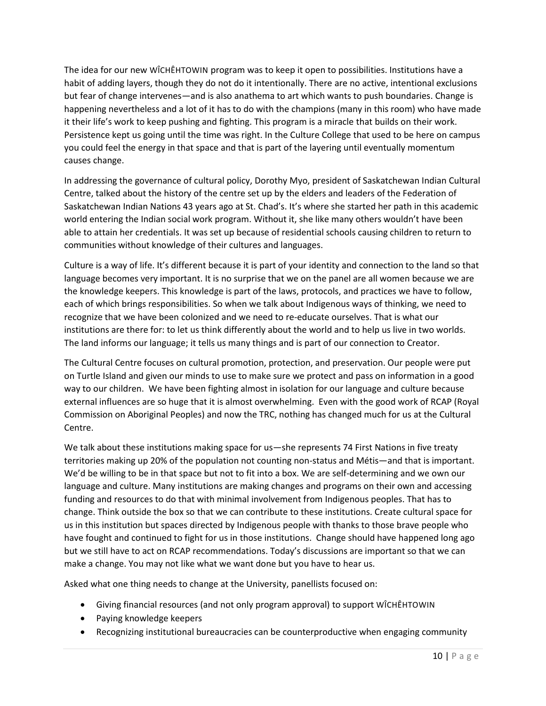The idea for our new WÎCHÊHTOWIN program was to keep it open to possibilities. Institutions have a habit of adding layers, though they do not do it intentionally. There are no active, intentional exclusions but fear of change intervenes—and is also anathema to art which wants to push boundaries. Change is happening nevertheless and a lot of it has to do with the champions (many in this room) who have made it their life's work to keep pushing and fighting. This program is a miracle that builds on their work. Persistence kept us going until the time was right. In the Culture College that used to be here on campus you could feel the energy in that space and that is part of the layering until eventually momentum causes change.

In addressing the governance of cultural policy, Dorothy Myo, president of Saskatchewan Indian Cultural Centre, talked about the history of the centre set up by the elders and leaders of the Federation of Saskatchewan Indian Nations 43 years ago at St. Chad's. It's where she started her path in this academic world entering the Indian social work program. Without it, she like many others wouldn't have been able to attain her credentials. It was set up because of residential schools causing children to return to communities without knowledge of their cultures and languages.

Culture is a way of life. It's different because it is part of your identity and connection to the land so that language becomes very important. It is no surprise that we on the panel are all women because we are the knowledge keepers. This knowledge is part of the laws, protocols, and practices we have to follow, each of which brings responsibilities. So when we talk about Indigenous ways of thinking, we need to recognize that we have been colonized and we need to re-educate ourselves. That is what our institutions are there for: to let us think differently about the world and to help us live in two worlds. The land informs our language; it tells us many things and is part of our connection to Creator.

The Cultural Centre focuses on cultural promotion, protection, and preservation. Our people were put on Turtle Island and given our minds to use to make sure we protect and pass on information in a good way to our children. We have been fighting almost in isolation for our language and culture because external influences are so huge that it is almost overwhelming. Even with the good work of RCAP (Royal Commission on Aboriginal Peoples) and now the TRC, nothing has changed much for us at the Cultural Centre.

We talk about these institutions making space for us-she represents 74 First Nations in five treaty territories making up 20% of the population not counting non-status and Métis—and that is important. We'd be willing to be in that space but not to fit into a box. We are self-determining and we own our language and culture. Many institutions are making changes and programs on their own and accessing funding and resources to do that with minimal involvement from Indigenous peoples. That has to change. Think outside the box so that we can contribute to these institutions. Create cultural space for us in this institution but spaces directed by Indigenous people with thanks to those brave people who have fought and continued to fight for us in those institutions. Change should have happened long ago but we still have to act on RCAP recommendations. Today's discussions are important so that we can make a change. You may not like what we want done but you have to hear us.

Asked what one thing needs to change at the University, panellists focused on:

- Giving financial resources (and not only program approval) to support WÎCHÊHTOWIN
- Paying knowledge keepers
- Recognizing institutional bureaucracies can be counterproductive when engaging community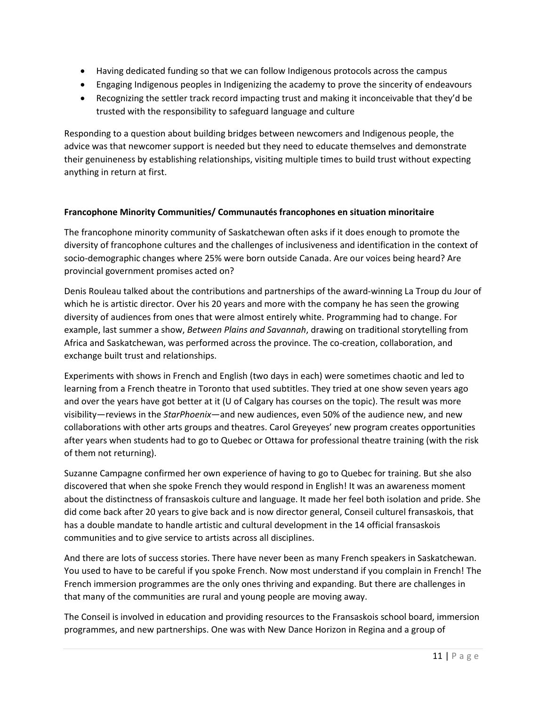- Having dedicated funding so that we can follow Indigenous protocols across the campus
- Engaging Indigenous peoples in Indigenizing the academy to prove the sincerity of endeavours
- Recognizing the settler track record impacting trust and making it inconceivable that they'd be trusted with the responsibility to safeguard language and culture

Responding to a question about building bridges between newcomers and Indigenous people, the advice was that newcomer support is needed but they need to educate themselves and demonstrate their genuineness by establishing relationships, visiting multiple times to build trust without expecting anything in return at first.

## **Francophone Minority Communities/ Communautés francophones en situation minoritaire**

The francophone minority community of Saskatchewan often asks if it does enough to promote the diversity of francophone cultures and the challenges of inclusiveness and identification in the context of socio-demographic changes where 25% were born outside Canada. Are our voices being heard? Are provincial government promises acted on?

Denis Rouleau talked about the contributions and partnerships of the award-winning La Troup du Jour of which he is artistic director. Over his 20 years and more with the company he has seen the growing diversity of audiences from ones that were almost entirely white. Programming had to change. For example, last summer a show, *Between Plains and Savannah*, drawing on traditional storytelling from Africa and Saskatchewan, was performed across the province. The co-creation, collaboration, and exchange built trust and relationships.

Experiments with shows in French and English (two days in each) were sometimes chaotic and led to learning from a French theatre in Toronto that used subtitles. They tried at one show seven years ago and over the years have got better at it (U of Calgary has courses on the topic). The result was more visibility—reviews in the *StarPhoenix*—and new audiences, even 50% of the audience new, and new collaborations with other arts groups and theatres. Carol Greyeyes' new program creates opportunities after years when students had to go to Quebec or Ottawa for professional theatre training (with the risk of them not returning).

Suzanne Campagne confirmed her own experience of having to go to Quebec for training. But she also discovered that when she spoke French they would respond in English! It was an awareness moment about the distinctness of fransaskois culture and language. It made her feel both isolation and pride. She did come back after 20 years to give back and is now director general, Conseil culturel fransaskois, that has a double mandate to handle artistic and cultural development in the 14 official fransaskois communities and to give service to artists across all disciplines.

And there are lots of success stories. There have never been as many French speakers in Saskatchewan. You used to have to be careful if you spoke French. Now most understand if you complain in French! The French immersion programmes are the only ones thriving and expanding. But there are challenges in that many of the communities are rural and young people are moving away.

The Conseil is involved in education and providing resources to the Fransaskois school board, immersion programmes, and new partnerships. One was with New Dance Horizon in Regina and a group of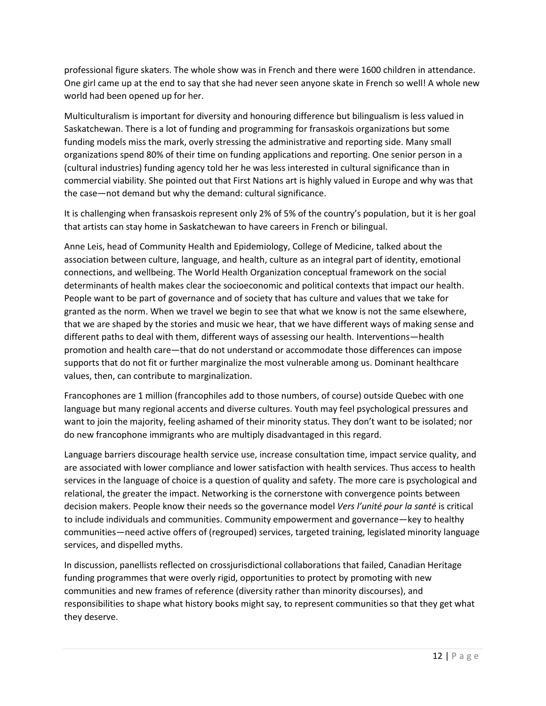professional figure skaters. The whole show was in French and there were 1600 children in attendance. One girl came up at the end to say that she had never seen anyone skate in French so well! A whole new world had been opened up for her.

Multiculturalism is important for diversity and honouring difference but bilingualism is less valued in Saskatchewan. There is a lot of funding and programming for fransaskois organizations but some funding models miss the mark, overly stressing the administrative and reporting side. Many small organizations spend 80% of their time on funding applications and reporting. One senior person in a (cultural industries) funding agency told her he was less interested in cultural significance than in commercial viability. She pointed out that First Nations art is highly valued in Europe and why was that the case—not demand but why the demand: cultural significance.

It is challenging when fransaskois represent only 2% of 5% of the country's population, but it is her goal that artists can stay home in Saskatchewan to have careers in French or bilingual.

Anne Leis, head of Community Health and Epidemiology, College of Medicine, talked about the association between culture, language, and health, culture as an integral part of identity, emotional connections, and wellbeing. The World Health Organization conceptual framework on the social determinants of health makes clear the socioeconomic and political contexts that impact our health. People want to be part of governance and of society that has culture and values that we take for granted as the norm. When we travel we begin to see that what we know is not the same elsewhere, that we are shaped by the stories and music we hear, that we have different ways of making sense and different paths to deal with them, different ways of assessing our health. Interventions—health promotion and health care—that do not understand or accommodate those differences can impose supports that do not fit or further marginalize the most vulnerable among us. Dominant healthcare values, then, can contribute to marginalization.

Francophones are 1 million (francophiles add to those numbers, of course) outside Quebec with one language but many regional accents and diverse cultures. Youth may feel psychological pressures and want to join the majority, feeling ashamed of their minority status. They don't want to be isolated; nor do new francophone immigrants who are multiply disadvantaged in this regard.

Language barriers discourage health service use, increase consultation time, impact service quality, and are associated with lower compliance and lower satisfaction with health services. Thus access to health services in the language of choice is a question of quality and safety. The more care is psychological and relational, the greater the impact. Networking is the cornerstone with convergence points between decision makers. People know their needs so the governance model *Vers l'unité pour la santé* is critical to include individuals and communities. Community empowerment and governance—key to healthy communities—need active offers of (regrouped) services, targeted training, legislated minority language services, and dispelled myths.

In discussion, panellists reflected on crossjurisdictional collaborations that failed, Canadian Heritage funding programmes that were overly rigid, opportunities to protect by promoting with new communities and new frames of reference (diversity rather than minority discourses), and responsibilities to shape what history books might say, to represent communities so that they get what they deserve.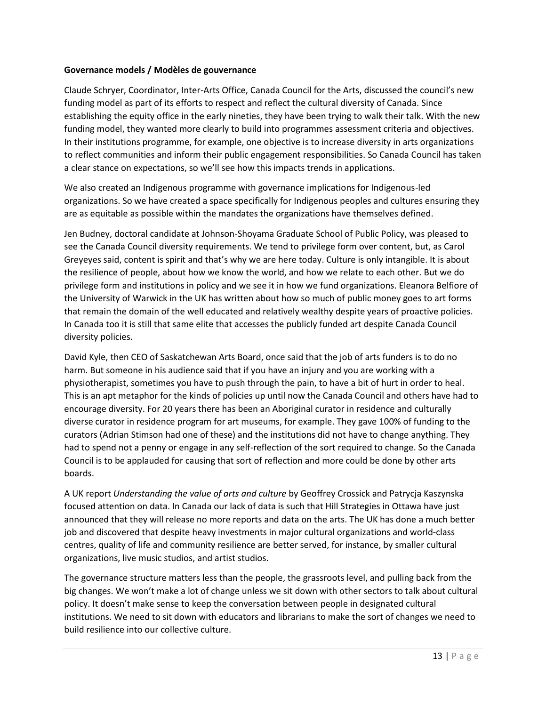### **Governance models / Modèles de gouvernance**

Claude Schryer, Coordinator, Inter-Arts Office, Canada Council for the Arts, discussed the council's new funding model as part of its efforts to respect and reflect the cultural diversity of Canada. Since establishing the equity office in the early nineties, they have been trying to walk their talk. With the new funding model, they wanted more clearly to build into programmes assessment criteria and objectives. In their institutions programme, for example, one objective is to increase diversity in arts organizations to reflect communities and inform their public engagement responsibilities. So Canada Council has taken a clear stance on expectations, so we'll see how this impacts trends in applications.

We also created an Indigenous programme with governance implications for Indigenous-led organizations. So we have created a space specifically for Indigenous peoples and cultures ensuring they are as equitable as possible within the mandates the organizations have themselves defined.

Jen Budney, doctoral candidate at Johnson-Shoyama Graduate School of Public Policy, was pleased to see the Canada Council diversity requirements. We tend to privilege form over content, but, as Carol Greyeyes said, content is spirit and that's why we are here today. Culture is only intangible. It is about the resilience of people, about how we know the world, and how we relate to each other. But we do privilege form and institutions in policy and we see it in how we fund organizations. Eleanora Belfiore of the University of Warwick in the UK has written about how so much of public money goes to art forms that remain the domain of the well educated and relatively wealthy despite years of proactive policies. In Canada too it is still that same elite that accesses the publicly funded art despite Canada Council diversity policies.

David Kyle, then CEO of Saskatchewan Arts Board, once said that the job of arts funders is to do no harm. But someone in his audience said that if you have an injury and you are working with a physiotherapist, sometimes you have to push through the pain, to have a bit of hurt in order to heal. This is an apt metaphor for the kinds of policies up until now the Canada Council and others have had to encourage diversity. For 20 years there has been an Aboriginal curator in residence and culturally diverse curator in residence program for art museums, for example. They gave 100% of funding to the curators (Adrian Stimson had one of these) and the institutions did not have to change anything. They had to spend not a penny or engage in any self-reflection of the sort required to change. So the Canada Council is to be applauded for causing that sort of reflection and more could be done by other arts boards.

A UK report *Understanding the value of arts and culture* by Geoffrey Crossick and Patrycja Kaszynska focused attention on data. In Canada our lack of data is such that Hill Strategies in Ottawa have just announced that they will release no more reports and data on the arts. The UK has done a much better job and discovered that despite heavy investments in major cultural organizations and world-class centres, quality of life and community resilience are better served, for instance, by smaller cultural organizations, live music studios, and artist studios.

The governance structure matters less than the people, the grassroots level, and pulling back from the big changes. We won't make a lot of change unless we sit down with other sectors to talk about cultural policy. It doesn't make sense to keep the conversation between people in designated cultural institutions. We need to sit down with educators and librarians to make the sort of changes we need to build resilience into our collective culture.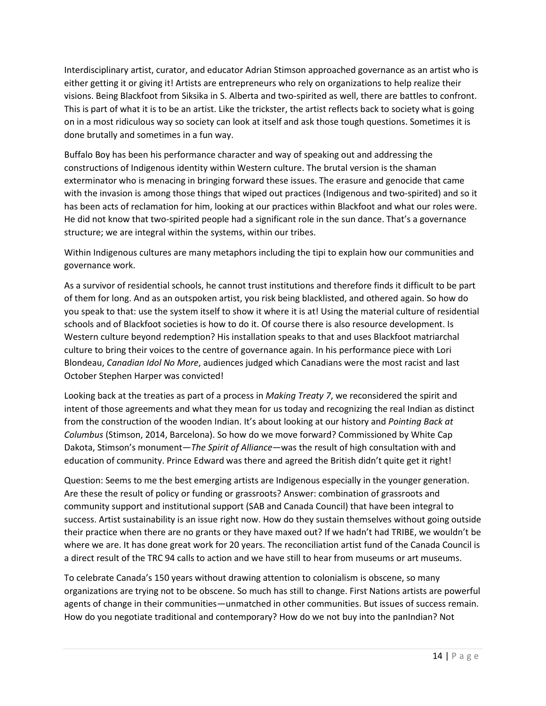Interdisciplinary artist, curator, and educator Adrian Stimson approached governance as an artist who is either getting it or giving it! Artists are entrepreneurs who rely on organizations to help realize their visions. Being Blackfoot from Siksika in S. Alberta and two-spirited as well, there are battles to confront. This is part of what it is to be an artist. Like the trickster, the artist reflects back to society what is going on in a most ridiculous way so society can look at itself and ask those tough questions. Sometimes it is done brutally and sometimes in a fun way.

Buffalo Boy has been his performance character and way of speaking out and addressing the constructions of Indigenous identity within Western culture. The brutal version is the shaman exterminator who is menacing in bringing forward these issues. The erasure and genocide that came with the invasion is among those things that wiped out practices (Indigenous and two-spirited) and so it has been acts of reclamation for him, looking at our practices within Blackfoot and what our roles were. He did not know that two-spirited people had a significant role in the sun dance. That's a governance structure; we are integral within the systems, within our tribes.

Within Indigenous cultures are many metaphors including the tipi to explain how our communities and governance work.

As a survivor of residential schools, he cannot trust institutions and therefore finds it difficult to be part of them for long. And as an outspoken artist, you risk being blacklisted, and othered again. So how do you speak to that: use the system itself to show it where it is at! Using the material culture of residential schools and of Blackfoot societies is how to do it. Of course there is also resource development. Is Western culture beyond redemption? His installation speaks to that and uses Blackfoot matriarchal culture to bring their voices to the centre of governance again. In his performance piece with Lori Blondeau, *Canadian Idol No More*, audiences judged which Canadians were the most racist and last October Stephen Harper was convicted!

Looking back at the treaties as part of a process in *Making Treaty 7*, we reconsidered the spirit and intent of those agreements and what they mean for us today and recognizing the real Indian as distinct from the construction of the wooden Indian. It's about looking at our history and *Pointing Back at Columbus* (Stimson, 2014, Barcelona). So how do we move forward? Commissioned by White Cap Dakota, Stimson's monument—*The Spirit of Alliance*—was the result of high consultation with and education of community. Prince Edward was there and agreed the British didn't quite get it right!

Question: Seems to me the best emerging artists are Indigenous especially in the younger generation. Are these the result of policy or funding or grassroots? Answer: combination of grassroots and community support and institutional support (SAB and Canada Council) that have been integral to success. Artist sustainability is an issue right now. How do they sustain themselves without going outside their practice when there are no grants or they have maxed out? If we hadn't had TRIBE, we wouldn't be where we are. It has done great work for 20 years. The reconciliation artist fund of the Canada Council is a direct result of the TRC 94 calls to action and we have still to hear from museums or art museums.

To celebrate Canada's 150 years without drawing attention to colonialism is obscene, so many organizations are trying not to be obscene. So much has still to change. First Nations artists are powerful agents of change in their communities—unmatched in other communities. But issues of success remain. How do you negotiate traditional and contemporary? How do we not buy into the panIndian? Not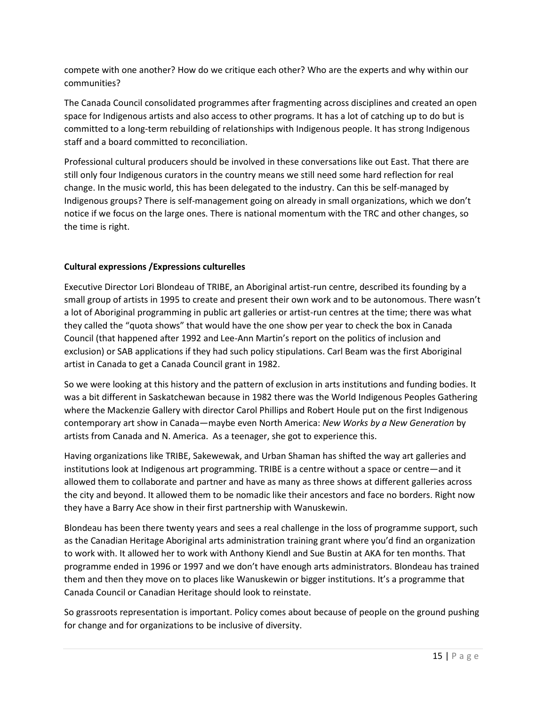compete with one another? How do we critique each other? Who are the experts and why within our communities?

The Canada Council consolidated programmes after fragmenting across disciplines and created an open space for Indigenous artists and also access to other programs. It has a lot of catching up to do but is committed to a long-term rebuilding of relationships with Indigenous people. It has strong Indigenous staff and a board committed to reconciliation.

Professional cultural producers should be involved in these conversations like out East. That there are still only four Indigenous curators in the country means we still need some hard reflection for real change. In the music world, this has been delegated to the industry. Can this be self-managed by Indigenous groups? There is self-management going on already in small organizations, which we don't notice if we focus on the large ones. There is national momentum with the TRC and other changes, so the time is right.

## **Cultural expressions /Expressions culturelles**

Executive Director Lori Blondeau of TRIBE, an Aboriginal artist-run centre, described its founding by a small group of artists in 1995 to create and present their own work and to be autonomous. There wasn't a lot of Aboriginal programming in public art galleries or artist-run centres at the time; there was what they called the "quota shows" that would have the one show per year to check the box in Canada Council (that happened after 1992 and Lee-Ann Martin's report on the politics of inclusion and exclusion) or SAB applications if they had such policy stipulations. Carl Beam was the first Aboriginal artist in Canada to get a Canada Council grant in 1982.

So we were looking at this history and the pattern of exclusion in arts institutions and funding bodies. It was a bit different in Saskatchewan because in 1982 there was the World Indigenous Peoples Gathering where the Mackenzie Gallery with director Carol Phillips and Robert Houle put on the first Indigenous contemporary art show in Canada—maybe even North America: *New Works by a New Generation* by artists from Canada and N. America. As a teenager, she got to experience this.

Having organizations like TRIBE, Sakewewak, and Urban Shaman has shifted the way art galleries and institutions look at Indigenous art programming. TRIBE is a centre without a space or centre—and it allowed them to collaborate and partner and have as many as three shows at different galleries across the city and beyond. It allowed them to be nomadic like their ancestors and face no borders. Right now they have a Barry Ace show in their first partnership with Wanuskewin.

Blondeau has been there twenty years and sees a real challenge in the loss of programme support, such as the Canadian Heritage Aboriginal arts administration training grant where you'd find an organization to work with. It allowed her to work with Anthony Kiendl and Sue Bustin at AKA for ten months. That programme ended in 1996 or 1997 and we don't have enough arts administrators. Blondeau has trained them and then they move on to places like Wanuskewin or bigger institutions. It's a programme that Canada Council or Canadian Heritage should look to reinstate.

So grassroots representation is important. Policy comes about because of people on the ground pushing for change and for organizations to be inclusive of diversity.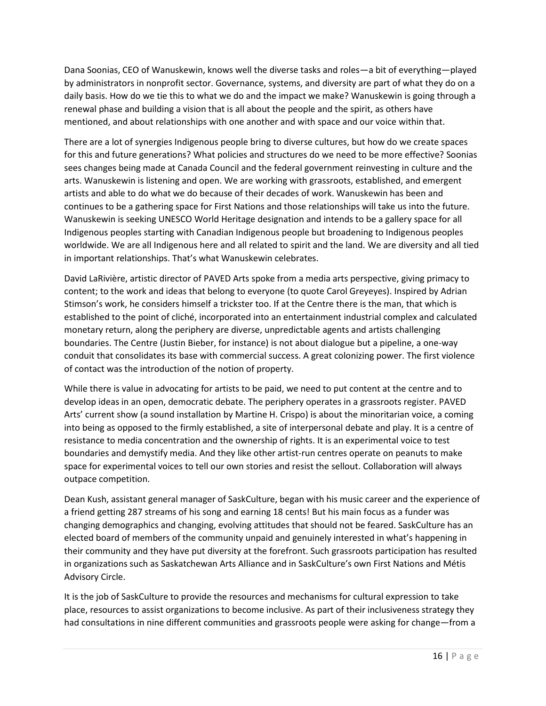Dana Soonias, CEO of Wanuskewin, knows well the diverse tasks and roles—a bit of everything—played by administrators in nonprofit sector. Governance, systems, and diversity are part of what they do on a daily basis. How do we tie this to what we do and the impact we make? Wanuskewin is going through a renewal phase and building a vision that is all about the people and the spirit, as others have mentioned, and about relationships with one another and with space and our voice within that.

There are a lot of synergies Indigenous people bring to diverse cultures, but how do we create spaces for this and future generations? What policies and structures do we need to be more effective? Soonias sees changes being made at Canada Council and the federal government reinvesting in culture and the arts. Wanuskewin is listening and open. We are working with grassroots, established, and emergent artists and able to do what we do because of their decades of work. Wanuskewin has been and continues to be a gathering space for First Nations and those relationships will take us into the future. Wanuskewin is seeking UNESCO World Heritage designation and intends to be a gallery space for all Indigenous peoples starting with Canadian Indigenous people but broadening to Indigenous peoples worldwide. We are all Indigenous here and all related to spirit and the land. We are diversity and all tied in important relationships. That's what Wanuskewin celebrates.

David LaRivière, artistic director of PAVED Arts spoke from a media arts perspective, giving primacy to content; to the work and ideas that belong to everyone (to quote Carol Greyeyes). Inspired by Adrian Stimson's work, he considers himself a trickster too. If at the Centre there is the man, that which is established to the point of cliché, incorporated into an entertainment industrial complex and calculated monetary return, along the periphery are diverse, unpredictable agents and artists challenging boundaries. The Centre (Justin Bieber, for instance) is not about dialogue but a pipeline, a one-way conduit that consolidates its base with commercial success. A great colonizing power. The first violence of contact was the introduction of the notion of property.

While there is value in advocating for artists to be paid, we need to put content at the centre and to develop ideas in an open, democratic debate. The periphery operates in a grassroots register. PAVED Arts' current show (a sound installation by Martine H. Crispo) is about the minoritarian voice, a coming into being as opposed to the firmly established, a site of interpersonal debate and play. It is a centre of resistance to media concentration and the ownership of rights. It is an experimental voice to test boundaries and demystify media. And they like other artist-run centres operate on peanuts to make space for experimental voices to tell our own stories and resist the sellout. Collaboration will always outpace competition.

Dean Kush, assistant general manager of SaskCulture, began with his music career and the experience of a friend getting 287 streams of his song and earning 18 cents! But his main focus as a funder was changing demographics and changing, evolving attitudes that should not be feared. SaskCulture has an elected board of members of the community unpaid and genuinely interested in what's happening in their community and they have put diversity at the forefront. Such grassroots participation has resulted in organizations such as Saskatchewan Arts Alliance and in SaskCulture's own First Nations and Métis Advisory Circle.

It is the job of SaskCulture to provide the resources and mechanisms for cultural expression to take place, resources to assist organizations to become inclusive. As part of their inclusiveness strategy they had consultations in nine different communities and grassroots people were asking for change—from a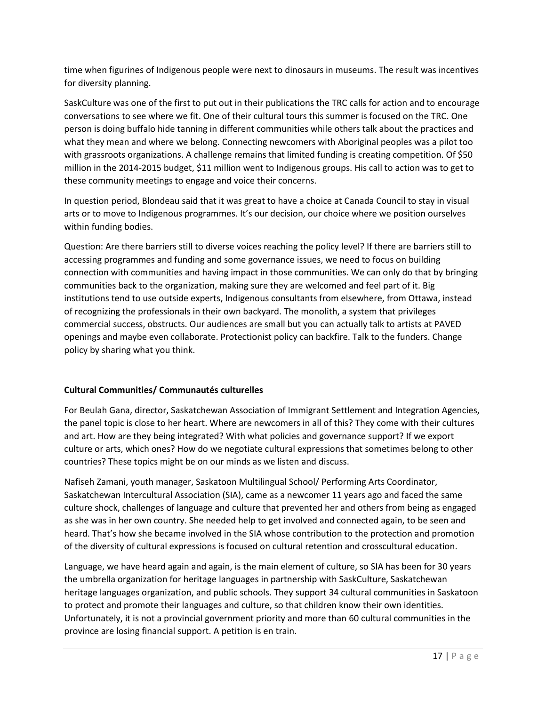time when figurines of Indigenous people were next to dinosaurs in museums. The result was incentives for diversity planning.

SaskCulture was one of the first to put out in their publications the TRC calls for action and to encourage conversations to see where we fit. One of their cultural tours this summer is focused on the TRC. One person is doing buffalo hide tanning in different communities while others talk about the practices and what they mean and where we belong. Connecting newcomers with Aboriginal peoples was a pilot too with grassroots organizations. A challenge remains that limited funding is creating competition. Of \$50 million in the 2014-2015 budget, \$11 million went to Indigenous groups. His call to action was to get to these community meetings to engage and voice their concerns.

In question period, Blondeau said that it was great to have a choice at Canada Council to stay in visual arts or to move to Indigenous programmes. It's our decision, our choice where we position ourselves within funding bodies.

Question: Are there barriers still to diverse voices reaching the policy level? If there are barriers still to accessing programmes and funding and some governance issues, we need to focus on building connection with communities and having impact in those communities. We can only do that by bringing communities back to the organization, making sure they are welcomed and feel part of it. Big institutions tend to use outside experts, Indigenous consultants from elsewhere, from Ottawa, instead of recognizing the professionals in their own backyard. The monolith, a system that privileges commercial success, obstructs. Our audiences are small but you can actually talk to artists at PAVED openings and maybe even collaborate. Protectionist policy can backfire. Talk to the funders. Change policy by sharing what you think.

## **Cultural Communities/ Communautés culturelles**

For Beulah Gana, director, Saskatchewan Association of Immigrant Settlement and Integration Agencies, the panel topic is close to her heart. Where are newcomers in all of this? They come with their cultures and art. How are they being integrated? With what policies and governance support? If we export culture or arts, which ones? How do we negotiate cultural expressions that sometimes belong to other countries? These topics might be on our minds as we listen and discuss.

Nafiseh Zamani, youth manager, Saskatoon Multilingual School/ Performing Arts Coordinator, Saskatchewan Intercultural Association (SIA), came as a newcomer 11 years ago and faced the same culture shock, challenges of language and culture that prevented her and others from being as engaged as she was in her own country. She needed help to get involved and connected again, to be seen and heard. That's how she became involved in the SIA whose contribution to the protection and promotion of the diversity of cultural expressions is focused on cultural retention and crosscultural education.

Language, we have heard again and again, is the main element of culture, so SIA has been for 30 years the umbrella organization for heritage languages in partnership with SaskCulture, Saskatchewan heritage languages organization, and public schools. They support 34 cultural communities in Saskatoon to protect and promote their languages and culture, so that children know their own identities. Unfortunately, it is not a provincial government priority and more than 60 cultural communities in the province are losing financial support. A petition is en train.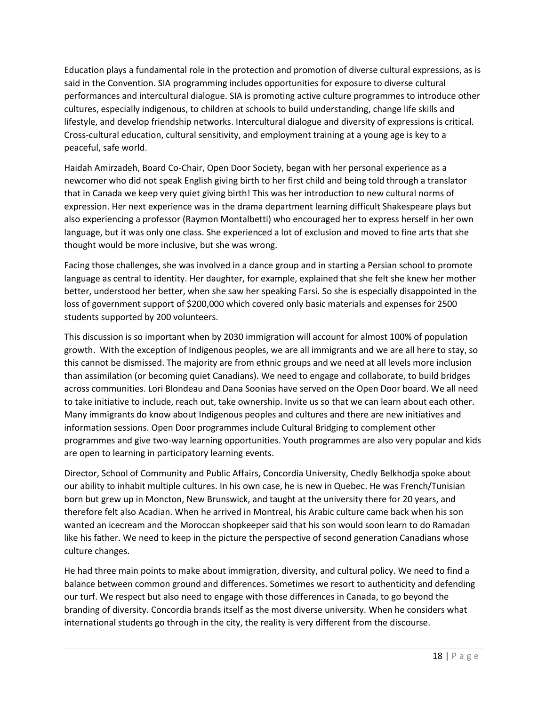Education plays a fundamental role in the protection and promotion of diverse cultural expressions, as is said in the Convention. SIA programming includes opportunities for exposure to diverse cultural performances and intercultural dialogue. SIA is promoting active culture programmes to introduce other cultures, especially indigenous, to children at schools to build understanding, change life skills and lifestyle, and develop friendship networks. Intercultural dialogue and diversity of expressions is critical. Cross-cultural education, cultural sensitivity, and employment training at a young age is key to a peaceful, safe world.

Haidah Amirzadeh, Board Co-Chair, Open Door Society, began with her personal experience as a newcomer who did not speak English giving birth to her first child and being told through a translator that in Canada we keep very quiet giving birth! This was her introduction to new cultural norms of expression. Her next experience was in the drama department learning difficult Shakespeare plays but also experiencing a professor (Raymon Montalbetti) who encouraged her to express herself in her own language, but it was only one class. She experienced a lot of exclusion and moved to fine arts that she thought would be more inclusive, but she was wrong.

Facing those challenges, she was involved in a dance group and in starting a Persian school to promote language as central to identity. Her daughter, for example, explained that she felt she knew her mother better, understood her better, when she saw her speaking Farsi. So she is especially disappointed in the loss of government support of \$200,000 which covered only basic materials and expenses for 2500 students supported by 200 volunteers.

This discussion is so important when by 2030 immigration will account for almost 100% of population growth. With the exception of Indigenous peoples, we are all immigrants and we are all here to stay, so this cannot be dismissed. The majority are from ethnic groups and we need at all levels more inclusion than assimilation (or becoming quiet Canadians). We need to engage and collaborate, to build bridges across communities. Lori Blondeau and Dana Soonias have served on the Open Door board. We all need to take initiative to include, reach out, take ownership. Invite us so that we can learn about each other. Many immigrants do know about Indigenous peoples and cultures and there are new initiatives and information sessions. Open Door programmes include Cultural Bridging to complement other programmes and give two-way learning opportunities. Youth programmes are also very popular and kids are open to learning in participatory learning events.

Director, School of Community and Public Affairs, Concordia University, Chedly Belkhodja spoke about our ability to inhabit multiple cultures. In his own case, he is new in Quebec. He was French/Tunisian born but grew up in Moncton, New Brunswick, and taught at the university there for 20 years, and therefore felt also Acadian. When he arrived in Montreal, his Arabic culture came back when his son wanted an icecream and the Moroccan shopkeeper said that his son would soon learn to do Ramadan like his father. We need to keep in the picture the perspective of second generation Canadians whose culture changes.

He had three main points to make about immigration, diversity, and cultural policy. We need to find a balance between common ground and differences. Sometimes we resort to authenticity and defending our turf. We respect but also need to engage with those differences in Canada, to go beyond the branding of diversity. Concordia brands itself as the most diverse university. When he considers what international students go through in the city, the reality is very different from the discourse.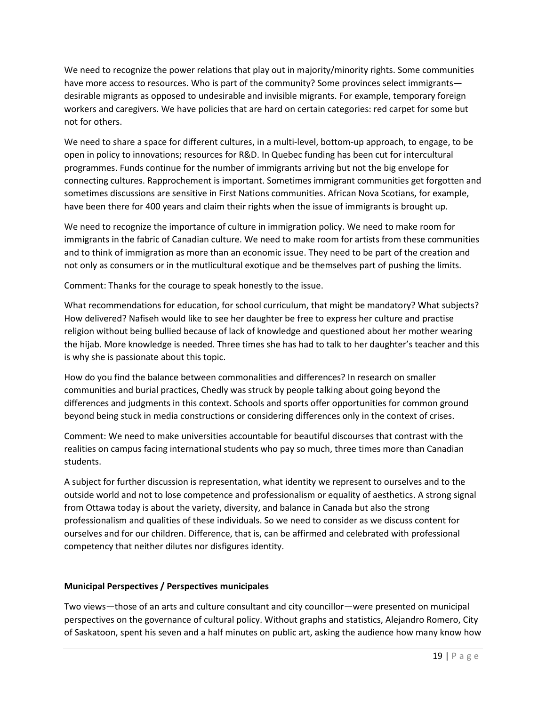We need to recognize the power relations that play out in majority/minority rights. Some communities have more access to resources. Who is part of the community? Some provinces select immigrants desirable migrants as opposed to undesirable and invisible migrants. For example, temporary foreign workers and caregivers. We have policies that are hard on certain categories: red carpet for some but not for others.

We need to share a space for different cultures, in a multi-level, bottom-up approach, to engage, to be open in policy to innovations; resources for R&D. In Quebec funding has been cut for intercultural programmes. Funds continue for the number of immigrants arriving but not the big envelope for connecting cultures. Rapprochement is important. Sometimes immigrant communities get forgotten and sometimes discussions are sensitive in First Nations communities. African Nova Scotians, for example, have been there for 400 years and claim their rights when the issue of immigrants is brought up.

We need to recognize the importance of culture in immigration policy. We need to make room for immigrants in the fabric of Canadian culture. We need to make room for artists from these communities and to think of immigration as more than an economic issue. They need to be part of the creation and not only as consumers or in the mutlicultural exotique and be themselves part of pushing the limits.

Comment: Thanks for the courage to speak honestly to the issue.

What recommendations for education, for school curriculum, that might be mandatory? What subjects? How delivered? Nafiseh would like to see her daughter be free to express her culture and practise religion without being bullied because of lack of knowledge and questioned about her mother wearing the hijab. More knowledge is needed. Three times she has had to talk to her daughter's teacher and this is why she is passionate about this topic.

How do you find the balance between commonalities and differences? In research on smaller communities and burial practices, Chedly was struck by people talking about going beyond the differences and judgments in this context. Schools and sports offer opportunities for common ground beyond being stuck in media constructions or considering differences only in the context of crises.

Comment: We need to make universities accountable for beautiful discourses that contrast with the realities on campus facing international students who pay so much, three times more than Canadian students.

A subject for further discussion is representation, what identity we represent to ourselves and to the outside world and not to lose competence and professionalism or equality of aesthetics. A strong signal from Ottawa today is about the variety, diversity, and balance in Canada but also the strong professionalism and qualities of these individuals. So we need to consider as we discuss content for ourselves and for our children. Difference, that is, can be affirmed and celebrated with professional competency that neither dilutes nor disfigures identity.

## **Municipal Perspectives / Perspectives municipales**

Two views—those of an arts and culture consultant and city councillor—were presented on municipal perspectives on the governance of cultural policy. Without graphs and statistics, Alejandro Romero, City of Saskatoon, spent his seven and a half minutes on public art, asking the audience how many know how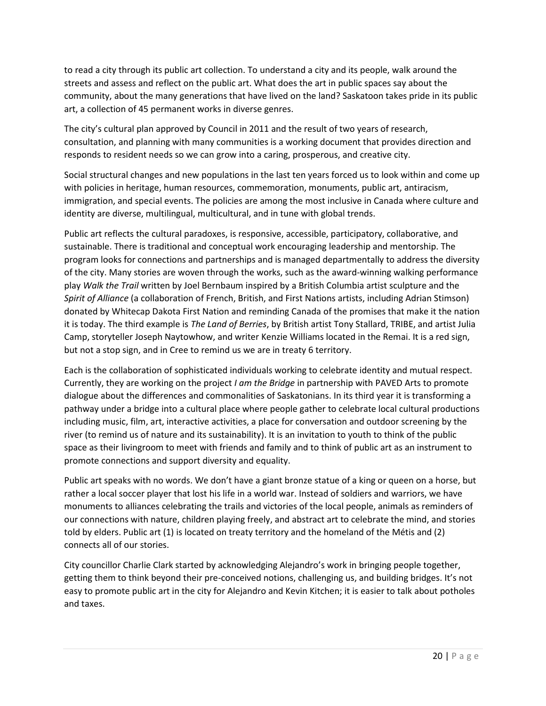to read a city through its public art collection. To understand a city and its people, walk around the streets and assess and reflect on the public art. What does the art in public spaces say about the community, about the many generations that have lived on the land? Saskatoon takes pride in its public art, a collection of 45 permanent works in diverse genres.

The city's cultural plan approved by Council in 2011 and the result of two years of research, consultation, and planning with many communities is a working document that provides direction and responds to resident needs so we can grow into a caring, prosperous, and creative city.

Social structural changes and new populations in the last ten years forced us to look within and come up with policies in heritage, human resources, commemoration, monuments, public art, antiracism, immigration, and special events. The policies are among the most inclusive in Canada where culture and identity are diverse, multilingual, multicultural, and in tune with global trends.

Public art reflects the cultural paradoxes, is responsive, accessible, participatory, collaborative, and sustainable. There is traditional and conceptual work encouraging leadership and mentorship. The program looks for connections and partnerships and is managed departmentally to address the diversity of the city. Many stories are woven through the works, such as the award-winning walking performance play *Walk the Trail* written by Joel Bernbaum inspired by a British Columbia artist sculpture and the *Spirit of Alliance* (a collaboration of French, British, and First Nations artists, including Adrian Stimson) donated by Whitecap Dakota First Nation and reminding Canada of the promises that make it the nation it is today. The third example is *The Land of Berries*, by British artist Tony Stallard, TRIBE, and artist Julia Camp, storyteller Joseph Naytowhow, and writer Kenzie Williams located in the Remai. It is a red sign, but not a stop sign, and in Cree to remind us we are in treaty 6 territory.

Each is the collaboration of sophisticated individuals working to celebrate identity and mutual respect. Currently, they are working on the project *I am the Bridge* in partnership with PAVED Arts to promote dialogue about the differences and commonalities of Saskatonians. In its third year it is transforming a pathway under a bridge into a cultural place where people gather to celebrate local cultural productions including music, film, art, interactive activities, a place for conversation and outdoor screening by the river (to remind us of nature and its sustainability). It is an invitation to youth to think of the public space as their livingroom to meet with friends and family and to think of public art as an instrument to promote connections and support diversity and equality.

Public art speaks with no words. We don't have a giant bronze statue of a king or queen on a horse, but rather a local soccer player that lost his life in a world war. Instead of soldiers and warriors, we have monuments to alliances celebrating the trails and victories of the local people, animals as reminders of our connections with nature, children playing freely, and abstract art to celebrate the mind, and stories told by elders. Public art (1) is located on treaty territory and the homeland of the Métis and (2) connects all of our stories.

City councillor Charlie Clark started by acknowledging Alejandro's work in bringing people together, getting them to think beyond their pre-conceived notions, challenging us, and building bridges. It's not easy to promote public art in the city for Alejandro and Kevin Kitchen; it is easier to talk about potholes and taxes.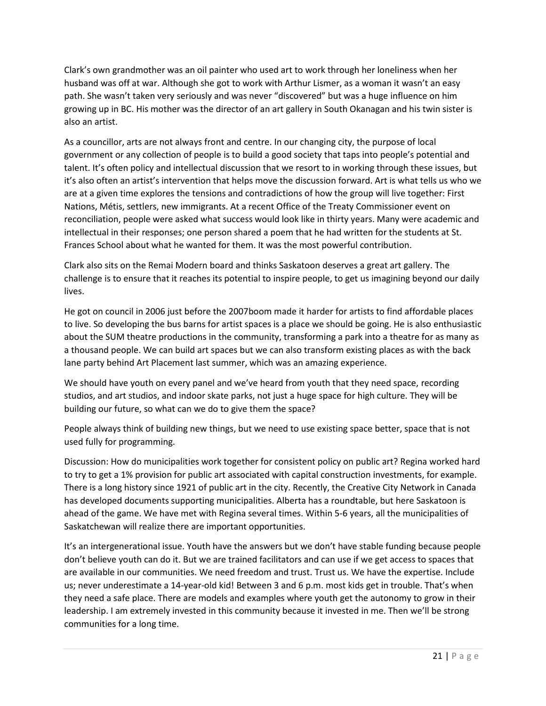Clark's own grandmother was an oil painter who used art to work through her loneliness when her husband was off at war. Although she got to work with Arthur Lismer, as a woman it wasn't an easy path. She wasn't taken very seriously and was never "discovered" but was a huge influence on him growing up in BC. His mother was the director of an art gallery in South Okanagan and his twin sister is also an artist.

As a councillor, arts are not always front and centre. In our changing city, the purpose of local government or any collection of people is to build a good society that taps into people's potential and talent. It's often policy and intellectual discussion that we resort to in working through these issues, but it's also often an artist's intervention that helps move the discussion forward. Art is what tells us who we are at a given time explores the tensions and contradictions of how the group will live together: First Nations, Métis, settlers, new immigrants. At a recent Office of the Treaty Commissioner event on reconciliation, people were asked what success would look like in thirty years. Many were academic and intellectual in their responses; one person shared a poem that he had written for the students at St. Frances School about what he wanted for them. It was the most powerful contribution.

Clark also sits on the Remai Modern board and thinks Saskatoon deserves a great art gallery. The challenge is to ensure that it reaches its potential to inspire people, to get us imagining beyond our daily lives.

He got on council in 2006 just before the 2007boom made it harder for artists to find affordable places to live. So developing the bus barns for artist spaces is a place we should be going. He is also enthusiastic about the SUM theatre productions in the community, transforming a park into a theatre for as many as a thousand people. We can build art spaces but we can also transform existing places as with the back lane party behind Art Placement last summer, which was an amazing experience.

We should have youth on every panel and we've heard from youth that they need space, recording studios, and art studios, and indoor skate parks, not just a huge space for high culture. They will be building our future, so what can we do to give them the space?

People always think of building new things, but we need to use existing space better, space that is not used fully for programming.

Discussion: How do municipalities work together for consistent policy on public art? Regina worked hard to try to get a 1% provision for public art associated with capital construction investments, for example. There is a long history since 1921 of public art in the city. Recently, the Creative City Network in Canada has developed documents supporting municipalities. Alberta has a roundtable, but here Saskatoon is ahead of the game. We have met with Regina several times. Within 5-6 years, all the municipalities of Saskatchewan will realize there are important opportunities.

It's an intergenerational issue. Youth have the answers but we don't have stable funding because people don't believe youth can do it. But we are trained facilitators and can use if we get access to spaces that are available in our communities. We need freedom and trust. Trust us. We have the expertise. Include us; never underestimate a 14-year-old kid! Between 3 and 6 p.m. most kids get in trouble. That's when they need a safe place. There are models and examples where youth get the autonomy to grow in their leadership. I am extremely invested in this community because it invested in me. Then we'll be strong communities for a long time.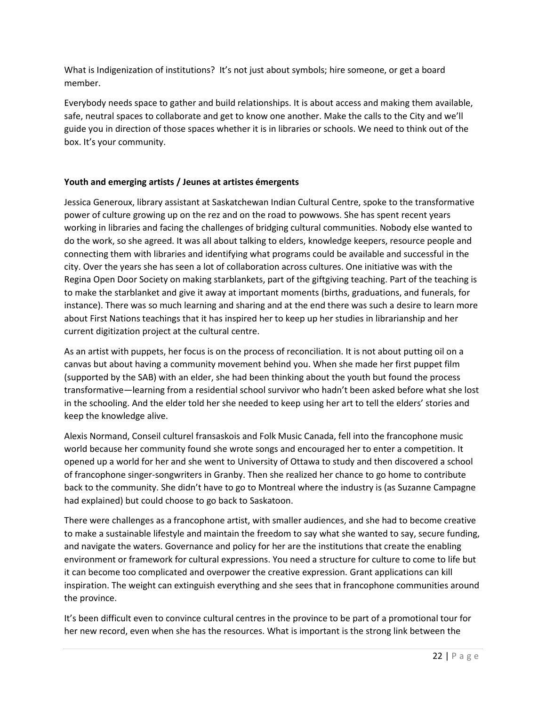What is Indigenization of institutions? It's not just about symbols; hire someone, or get a board member.

Everybody needs space to gather and build relationships. It is about access and making them available, safe, neutral spaces to collaborate and get to know one another. Make the calls to the City and we'll guide you in direction of those spaces whether it is in libraries or schools. We need to think out of the box. It's your community.

## **Youth and emerging artists / Jeunes at artistes émergents**

Jessica Generoux, library assistant at Saskatchewan Indian Cultural Centre, spoke to the transformative power of culture growing up on the rez and on the road to powwows. She has spent recent years working in libraries and facing the challenges of bridging cultural communities. Nobody else wanted to do the work, so she agreed. It was all about talking to elders, knowledge keepers, resource people and connecting them with libraries and identifying what programs could be available and successful in the city. Over the years she has seen a lot of collaboration across cultures. One initiative was with the Regina Open Door Society on making starblankets, part of the giftgiving teaching. Part of the teaching is to make the starblanket and give it away at important moments (births, graduations, and funerals, for instance). There was so much learning and sharing and at the end there was such a desire to learn more about First Nations teachings that it has inspired her to keep up her studies in librarianship and her current digitization project at the cultural centre.

As an artist with puppets, her focus is on the process of reconciliation. It is not about putting oil on a canvas but about having a community movement behind you. When she made her first puppet film (supported by the SAB) with an elder, she had been thinking about the youth but found the process transformative—learning from a residential school survivor who hadn't been asked before what she lost in the schooling. And the elder told her she needed to keep using her art to tell the elders' stories and keep the knowledge alive.

Alexis Normand, Conseil culturel fransaskois and Folk Music Canada, fell into the francophone music world because her community found she wrote songs and encouraged her to enter a competition. It opened up a world for her and she went to University of Ottawa to study and then discovered a school of francophone singer-songwriters in Granby. Then she realized her chance to go home to contribute back to the community. She didn't have to go to Montreal where the industry is (as Suzanne Campagne had explained) but could choose to go back to Saskatoon.

There were challenges as a francophone artist, with smaller audiences, and she had to become creative to make a sustainable lifestyle and maintain the freedom to say what she wanted to say, secure funding, and navigate the waters. Governance and policy for her are the institutions that create the enabling environment or framework for cultural expressions. You need a structure for culture to come to life but it can become too complicated and overpower the creative expression. Grant applications can kill inspiration. The weight can extinguish everything and she sees that in francophone communities around the province.

It's been difficult even to convince cultural centres in the province to be part of a promotional tour for her new record, even when she has the resources. What is important is the strong link between the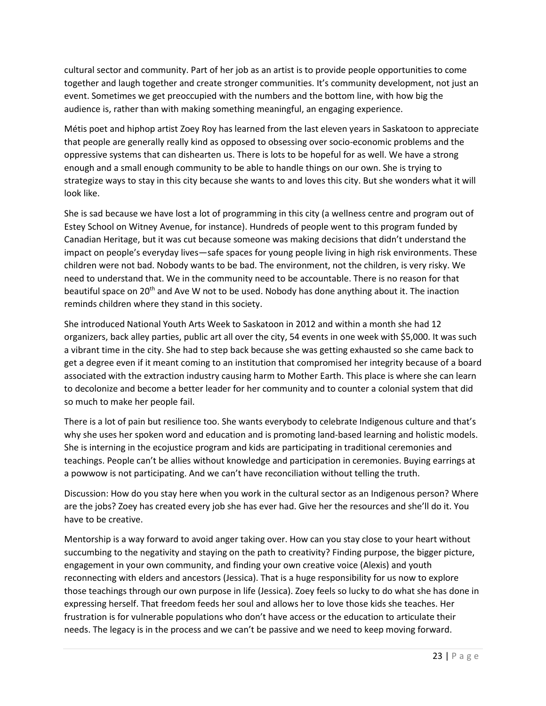cultural sector and community. Part of her job as an artist is to provide people opportunities to come together and laugh together and create stronger communities. It's community development, not just an event. Sometimes we get preoccupied with the numbers and the bottom line, with how big the audience is, rather than with making something meaningful, an engaging experience.

Métis poet and hiphop artist Zoey Roy has learned from the last eleven years in Saskatoon to appreciate that people are generally really kind as opposed to obsessing over socio-economic problems and the oppressive systems that can dishearten us. There is lots to be hopeful for as well. We have a strong enough and a small enough community to be able to handle things on our own. She is trying to strategize ways to stay in this city because she wants to and loves this city. But she wonders what it will look like.

She is sad because we have lost a lot of programming in this city (a wellness centre and program out of Estey School on Witney Avenue, for instance). Hundreds of people went to this program funded by Canadian Heritage, but it was cut because someone was making decisions that didn't understand the impact on people's everyday lives—safe spaces for young people living in high risk environments. These children were not bad. Nobody wants to be bad. The environment, not the children, is very risky. We need to understand that. We in the community need to be accountable. There is no reason for that beautiful space on 20<sup>th</sup> and Ave W not to be used. Nobody has done anything about it. The inaction reminds children where they stand in this society.

She introduced National Youth Arts Week to Saskatoon in 2012 and within a month she had 12 organizers, back alley parties, public art all over the city, 54 events in one week with \$5,000. It was such a vibrant time in the city. She had to step back because she was getting exhausted so she came back to get a degree even if it meant coming to an institution that compromised her integrity because of a board associated with the extraction industry causing harm to Mother Earth. This place is where she can learn to decolonize and become a better leader for her community and to counter a colonial system that did so much to make her people fail.

There is a lot of pain but resilience too. She wants everybody to celebrate Indigenous culture and that's why she uses her spoken word and education and is promoting land-based learning and holistic models. She is interning in the ecojustice program and kids are participating in traditional ceremonies and teachings. People can't be allies without knowledge and participation in ceremonies. Buying earrings at a powwow is not participating. And we can't have reconciliation without telling the truth.

Discussion: How do you stay here when you work in the cultural sector as an Indigenous person? Where are the jobs? Zoey has created every job she has ever had. Give her the resources and she'll do it. You have to be creative.

Mentorship is a way forward to avoid anger taking over. How can you stay close to your heart without succumbing to the negativity and staying on the path to creativity? Finding purpose, the bigger picture, engagement in your own community, and finding your own creative voice (Alexis) and youth reconnecting with elders and ancestors (Jessica). That is a huge responsibility for us now to explore those teachings through our own purpose in life (Jessica). Zoey feels so lucky to do what she has done in expressing herself. That freedom feeds her soul and allows her to love those kids she teaches. Her frustration is for vulnerable populations who don't have access or the education to articulate their needs. The legacy is in the process and we can't be passive and we need to keep moving forward.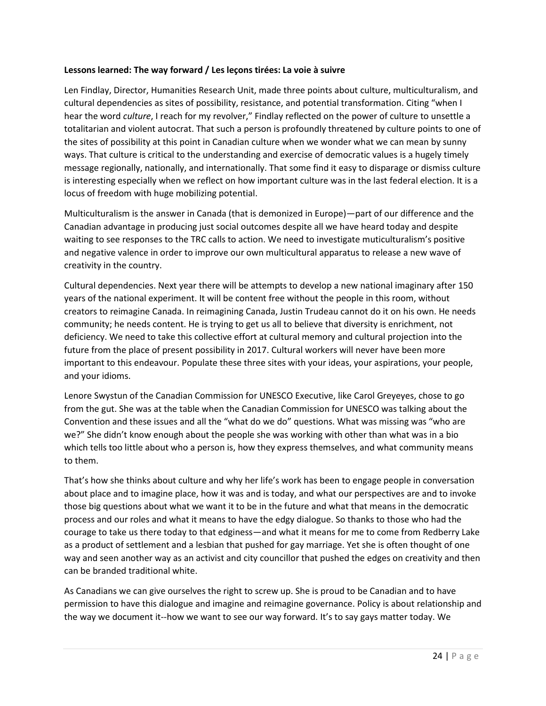## **Lessons learned: The way forward / Les leçons tirées: La voie à suivre**

Len Findlay, Director, Humanities Research Unit, made three points about culture, multiculturalism, and cultural dependencies as sites of possibility, resistance, and potential transformation. Citing "when I hear the word *culture*, I reach for my revolver," Findlay reflected on the power of culture to unsettle a totalitarian and violent autocrat. That such a person is profoundly threatened by culture points to one of the sites of possibility at this point in Canadian culture when we wonder what we can mean by sunny ways. That culture is critical to the understanding and exercise of democratic values is a hugely timely message regionally, nationally, and internationally. That some find it easy to disparage or dismiss culture is interesting especially when we reflect on how important culture was in the last federal election. It is a locus of freedom with huge mobilizing potential.

Multiculturalism is the answer in Canada (that is demonized in Europe)—part of our difference and the Canadian advantage in producing just social outcomes despite all we have heard today and despite waiting to see responses to the TRC calls to action. We need to investigate muticulturalism's positive and negative valence in order to improve our own multicultural apparatus to release a new wave of creativity in the country.

Cultural dependencies. Next year there will be attempts to develop a new national imaginary after 150 years of the national experiment. It will be content free without the people in this room, without creators to reimagine Canada. In reimagining Canada, Justin Trudeau cannot do it on his own. He needs community; he needs content. He is trying to get us all to believe that diversity is enrichment, not deficiency. We need to take this collective effort at cultural memory and cultural projection into the future from the place of present possibility in 2017. Cultural workers will never have been more important to this endeavour. Populate these three sites with your ideas, your aspirations, your people, and your idioms.

Lenore Swystun of the Canadian Commission for UNESCO Executive, like Carol Greyeyes, chose to go from the gut. She was at the table when the Canadian Commission for UNESCO was talking about the Convention and these issues and all the "what do we do" questions. What was missing was "who are we?" She didn't know enough about the people she was working with other than what was in a bio which tells too little about who a person is, how they express themselves, and what community means to them.

That's how she thinks about culture and why her life's work has been to engage people in conversation about place and to imagine place, how it was and is today, and what our perspectives are and to invoke those big questions about what we want it to be in the future and what that means in the democratic process and our roles and what it means to have the edgy dialogue. So thanks to those who had the courage to take us there today to that edginess—and what it means for me to come from Redberry Lake as a product of settlement and a lesbian that pushed for gay marriage. Yet she is often thought of one way and seen another way as an activist and city councillor that pushed the edges on creativity and then can be branded traditional white.

As Canadians we can give ourselves the right to screw up. She is proud to be Canadian and to have permission to have this dialogue and imagine and reimagine governance. Policy is about relationship and the way we document it--how we want to see our way forward. It's to say gays matter today. We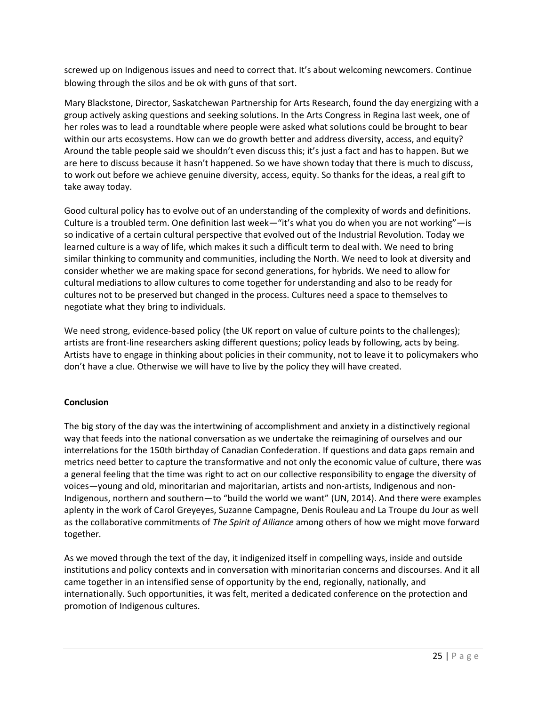screwed up on Indigenous issues and need to correct that. It's about welcoming newcomers. Continue blowing through the silos and be ok with guns of that sort.

Mary Blackstone, Director, Saskatchewan Partnership for Arts Research, found the day energizing with a group actively asking questions and seeking solutions. In the Arts Congress in Regina last week, one of her roles was to lead a roundtable where people were asked what solutions could be brought to bear within our arts ecosystems. How can we do growth better and address diversity, access, and equity? Around the table people said we shouldn't even discuss this; it's just a fact and has to happen. But we are here to discuss because it hasn't happened. So we have shown today that there is much to discuss, to work out before we achieve genuine diversity, access, equity. So thanks for the ideas, a real gift to take away today.

Good cultural policy has to evolve out of an understanding of the complexity of words and definitions. Culture is a troubled term. One definition last week—"it's what you do when you are not working"—is so indicative of a certain cultural perspective that evolved out of the Industrial Revolution. Today we learned culture is a way of life, which makes it such a difficult term to deal with. We need to bring similar thinking to community and communities, including the North. We need to look at diversity and consider whether we are making space for second generations, for hybrids. We need to allow for cultural mediations to allow cultures to come together for understanding and also to be ready for cultures not to be preserved but changed in the process. Cultures need a space to themselves to negotiate what they bring to individuals.

We need strong, evidence-based policy (the UK report on value of culture points to the challenges); artists are front-line researchers asking different questions; policy leads by following, acts by being. Artists have to engage in thinking about policies in their community, not to leave it to policymakers who don't have a clue. Otherwise we will have to live by the policy they will have created.

## **Conclusion**

The big story of the day was the intertwining of accomplishment and anxiety in a distinctively regional way that feeds into the national conversation as we undertake the reimagining of ourselves and our interrelations for the 150th birthday of Canadian Confederation. If questions and data gaps remain and metrics need better to capture the transformative and not only the economic value of culture, there was a general feeling that the time was right to act on our collective responsibility to engage the diversity of voices—young and old, minoritarian and majoritarian, artists and non-artists, Indigenous and non-Indigenous, northern and southern—to "build the world we want" (UN, 2014). And there were examples aplenty in the work of Carol Greyeyes, Suzanne Campagne, Denis Rouleau and La Troupe du Jour as well as the collaborative commitments of *The Spirit of Alliance* among others of how we might move forward together*.* 

As we moved through the text of the day, it indigenized itself in compelling ways, inside and outside institutions and policy contexts and in conversation with minoritarian concerns and discourses. And it all came together in an intensified sense of opportunity by the end, regionally, nationally, and internationally. Such opportunities, it was felt, merited a dedicated conference on the protection and promotion of Indigenous cultures.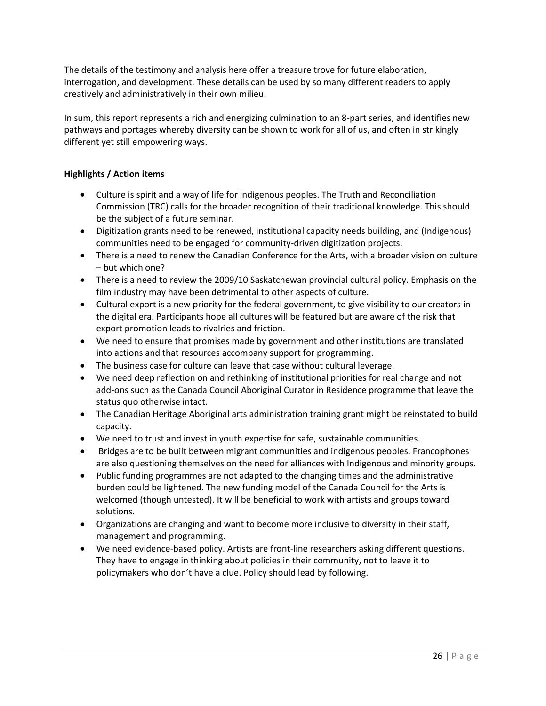The details of the testimony and analysis here offer a treasure trove for future elaboration, interrogation, and development. These details can be used by so many different readers to apply creatively and administratively in their own milieu.

In sum, this report represents a rich and energizing culmination to an 8-part series, and identifies new pathways and portages whereby diversity can be shown to work for all of us, and often in strikingly different yet still empowering ways.

## **Highlights / Action items**

- Culture is spirit and a way of life for indigenous peoples. The Truth and Reconciliation Commission (TRC) calls for the broader recognition of their traditional knowledge. This should be the subject of a future seminar.
- Digitization grants need to be renewed, institutional capacity needs building, and (Indigenous) communities need to be engaged for community-driven digitization projects.
- There is a need to renew the Canadian Conference for the Arts, with a broader vision on culture – but which one?
- There is a need to review the 2009/10 Saskatchewan provincial cultural policy. Emphasis on the film industry may have been detrimental to other aspects of culture.
- Cultural export is a new priority for the federal government, to give visibility to our creators in the digital era. Participants hope all cultures will be featured but are aware of the risk that export promotion leads to rivalries and friction.
- We need to ensure that promises made by government and other institutions are translated into actions and that resources accompany support for programming.
- The business case for culture can leave that case without cultural leverage.
- We need deep reflection on and rethinking of institutional priorities for real change and not add-ons such as the Canada Council Aboriginal Curator in Residence programme that leave the status quo otherwise intact.
- The Canadian Heritage Aboriginal arts administration training grant might be reinstated to build capacity.
- We need to trust and invest in youth expertise for safe, sustainable communities.
- Bridges are to be built between migrant communities and indigenous peoples. Francophones are also questioning themselves on the need for alliances with Indigenous and minority groups.
- Public funding programmes are not adapted to the changing times and the administrative burden could be lightened. The new funding model of the Canada Council for the Arts is welcomed (though untested). It will be beneficial to work with artists and groups toward solutions.
- Organizations are changing and want to become more inclusive to diversity in their staff, management and programming.
- We need evidence-based policy. Artists are front-line researchers asking different questions. They have to engage in thinking about policies in their community, not to leave it to policymakers who don't have a clue. Policy should lead by following.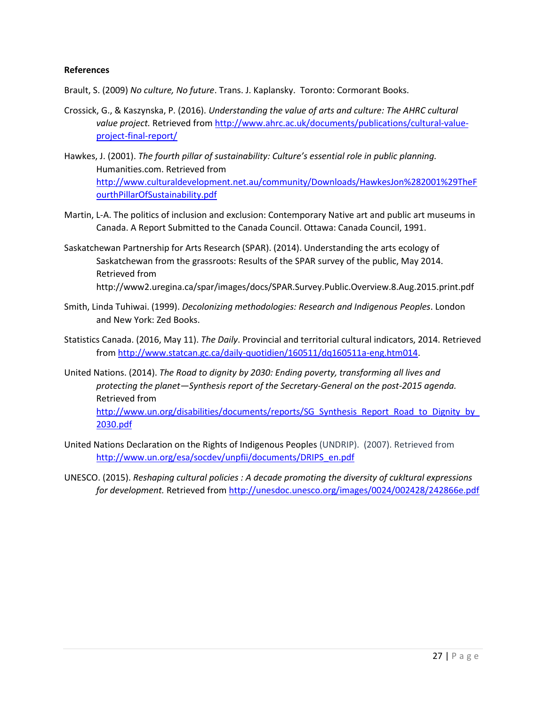### **References**

- Brault, S. (2009) *No culture, No future*. Trans. J. Kaplansky. Toronto: Cormorant Books.
- Crossick, G., & Kaszynska, P. (2016). *Understanding the value of arts and culture: The AHRC cultural value project.* Retrieved from [http://www.ahrc.ac.uk/documents/publications/cultural-value](http://www.ahrc.ac.uk/documents/publications/cultural-value-project-final-report/)[project-final-report/](http://www.ahrc.ac.uk/documents/publications/cultural-value-project-final-report/)
- Hawkes, J. (2001). *The fourth pillar of sustainability: Culture's essential role in public planning.*  Humanities.com. Retrieved from [http://www.culturaldevelopment.net.au/community/Downloads/HawkesJon%282001%29TheF](http://www.culturaldevelopment.net.au/community/Downloads/HawkesJon%282001%29TheFourthPillarOfSustainability.pdf) [ourthPillarOfSustainability.pdf](http://www.culturaldevelopment.net.au/community/Downloads/HawkesJon%282001%29TheFourthPillarOfSustainability.pdf)
- Martin, L-A. The politics of inclusion and exclusion: Contemporary Native art and public art museums in Canada. A Report Submitted to the Canada Council. Ottawa: Canada Council, 1991.
- Saskatchewan Partnership for Arts Research (SPAR). (2014). Understanding the arts ecology of Saskatchewan from the grassroots: Results of the SPAR survey of the public, May 2014. Retrieved from http://www2.uregina.ca/spar/images/docs/SPAR.Survey.Public.Overview.8.Aug.2015.print.pdf
- Smith, Linda Tuhiwai. (1999). *Decolonizing methodologies: Research and Indigenous Peoples*. London and New York: Zed Books.
- Statistics Canada. (2016, May 11). *The Daily*. Provincial and territorial cultural indicators, 2014. Retrieved from [http://www.statcan.gc.ca/daily-quotidien/160511/dq160511a-eng.htm014.](http://www.statcan.gc.ca/daily-quotidien/160511/dq160511a-eng.htm014)
- United Nations. (2014). *The Road to dignity by 2030: Ending poverty, transforming all lives and protecting the planet—Synthesis report of the Secretary-General on the post-2015 agenda.*  Retrieved from http://www.un.org/disabilities/documents/reports/SG\_Synthesis\_Report\_Road\_to\_Dignity\_by [2030.pdf](http://www.un.org/disabilities/documents/reports/SG_Synthesis_Report_Road_to_Dignity_by_2030.pdf)
- United Nations Declaration on the Rights of Indigenous Peoples (UNDRIP). (2007). Retrieved from [http://www.un.org/esa/socdev/unpfii/documents/DRIPS\\_en.pdf](http://www.un.org/esa/socdev/unpfii/documents/DRIPS_en.pdf)
- UNESCO. (2015). *Reshaping cultural policies : A decade promoting the diversity of cukltural expressions for development.* Retrieved fro[m http://unesdoc.unesco.org/images/0024/002428/242866e.pdf](http://unesdoc.unesco.org/images/0024/002428/242866e.pdf)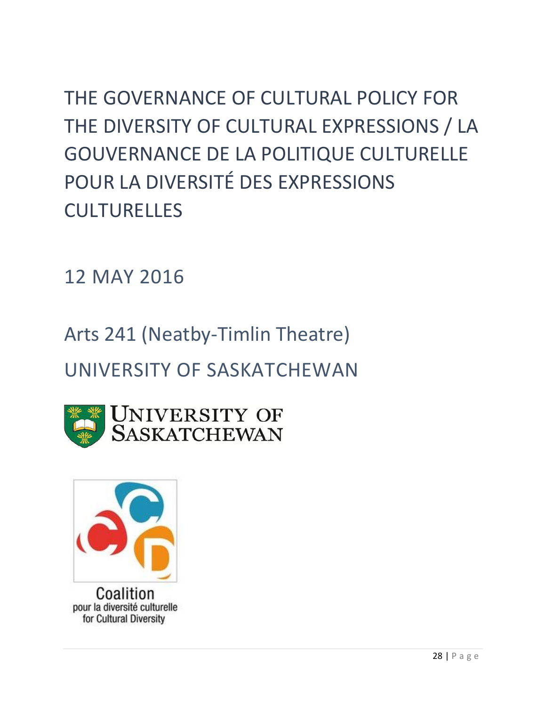THE GOVERNANCE OF CULTURAL POLICY FOR THE DIVERSITY OF CULTURAL EXPRESSIONS / LA GOUVERNANCE DE LA POLITIQUE CULTURELLE POUR LA DIVERSITÉ DES EXPRESSIONS CULTURELLES

12 MAY 2016

Arts 241 (Neatby-Timlin Theatre)

UNIVERSITY OF SASKATCHEWAN



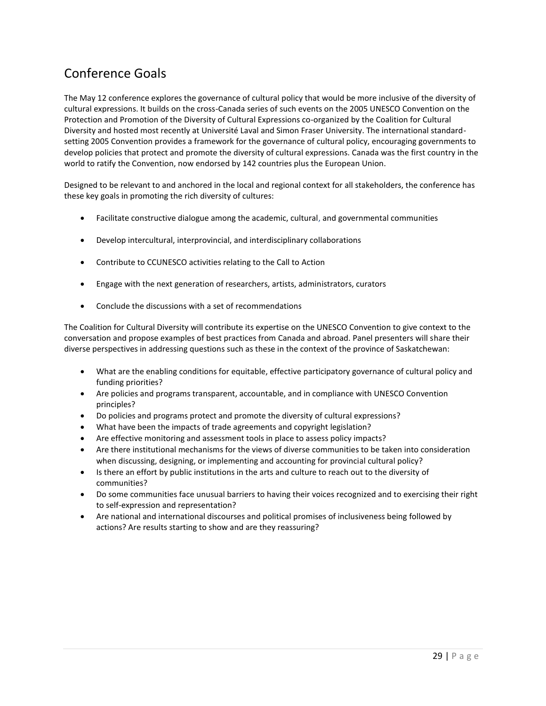# Conference Goals

The May 12 conference explores the governance of cultural policy that would be more inclusive of the diversity of cultural expressions. It builds on the cross-Canada series of such events on the 2005 UNESCO Convention on the Protection and Promotion of the Diversity of Cultural Expressions co-organized by the Coalition for Cultural Diversity and hosted most recently at Université Laval and Simon Fraser University. The international standardsetting 2005 Convention provides a framework for the governance of cultural policy, encouraging governments to develop policies that protect and promote the diversity of cultural expressions. Canada was the first country in the world to ratify the Convention, now endorsed by 142 countries plus the European Union.

Designed to be relevant to and anchored in the local and regional context for all stakeholders, the conference has these key goals in promoting the rich diversity of cultures:

- Facilitate constructive dialogue among the academic, cultural, and governmental communities
- Develop intercultural, interprovincial, and interdisciplinary collaborations
- Contribute to CCUNESCO activities relating to the Call to Action
- Engage with the next generation of researchers, artists, administrators, curators
- Conclude the discussions with a set of recommendations

The Coalition for Cultural Diversity will contribute its expertise on the UNESCO Convention to give context to the conversation and propose examples of best practices from Canada and abroad. Panel presenters will share their diverse perspectives in addressing questions such as these in the context of the province of Saskatchewan:

- What are the enabling conditions for equitable, effective participatory governance of cultural policy and funding priorities?
- Are policies and programs transparent, accountable, and in compliance with UNESCO Convention principles?
- Do policies and programs protect and promote the diversity of cultural expressions?
- What have been the impacts of trade agreements and copyright legislation?
- Are effective monitoring and assessment tools in place to assess policy impacts?
- Are there institutional mechanisms for the views of diverse communities to be taken into consideration when discussing, designing, or implementing and accounting for provincial cultural policy?
- Is there an effort by public institutions in the arts and culture to reach out to the diversity of communities?
- Do some communities face unusual barriers to having their voices recognized and to exercising their right to self-expression and representation?
- Are national and international discourses and political promises of inclusiveness being followed by actions? Are results starting to show and are they reassuring?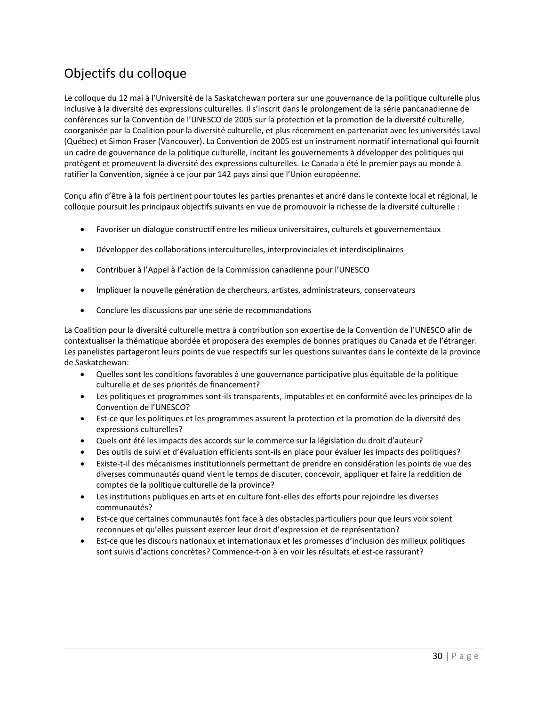# Objectifs du colloque

Le colloque du 12 mai à l'Université de la Saskatchewan portera sur une gouvernance de la politique culturelle plus inclusive à la diversité des expressions culturelles. Il s'inscrit dans le prolongement de la série pancanadienne de conférences sur la Convention de l'UNESCO de 2005 sur la protection et la promotion de la diversité culturelle, coorganisée par la Coalition pour la diversité culturelle, et plus récemment en partenariat avec les universités Laval (Québec) et Simon Fraser (Vancouver). La Convention de 2005 est un instrument normatif international qui fournit un cadre de gouvernance de la politique culturelle, incitant les gouvernements à développer des politiques qui protègent et promeuvent la diversité des expressions culturelles. Le Canada a été le premier pays au monde à ratifier la Convention, signée à ce jour par 142 pays ainsi que l'Union européenne.

Conçu afin d'être à la fois pertinent pour toutes les parties prenantes et ancré dans le contexte local et régional, le colloque poursuit les principaux objectifs suivants en vue de promouvoir la richesse de la diversité culturelle :

- Favoriser un dialogue constructif entre les milieux universitaires, culturels et gouvernementaux
- Développer des collaborations interculturelles, interprovinciales et interdisciplinaires
- Contribuer à l'Appel à l'action de la Commission canadienne pour l'UNESCO
- Impliquer la nouvelle génération de chercheurs, artistes, administrateurs, conservateurs
- Conclure les discussions par une série de recommandations

La Coalition pour la diversité culturelle mettra à contribution son expertise de la Convention de l'UNESCO afin de contextualiser la thématique abordée et proposera des exemples de bonnes pratiques du Canada et de l'étranger. Les panelistes partageront leurs points de vue respectifs sur les questions suivantes dans le contexte de la province de Saskatchewan:

- Quelles sont les conditions favorables à une gouvernance participative plus équitable de la politique culturelle et de ses priorités de financement?
- Les politiques et programmes sont-ils transparents, imputables et en conformité avec les principes de la Convention de l'UNESCO?
- Est-ce que les politiques et les programmes assurent la protection et la promotion de la diversité des expressions culturelles?
- Quels ont été les impacts des accords sur le commerce sur la législation du droit d'auteur?
- Des outils de suivi et d'évaluation efficients sont-ils en place pour évaluer les impacts des politiques?
- Existe-t-il des mécanismes institutionnels permettant de prendre en considération les points de vue des diverses communautés quand vient le temps de discuter, concevoir, appliquer et faire la reddition de comptes de la politique culturelle de la province?
- Les institutions publiques en arts et en culture font-elles des efforts pour rejoindre les diverses communautés?
- Est-ce que certaines communautés font face à des obstacles particuliers pour que leurs voix soient reconnues et qu'elles puissent exercer leur droit d'expression et de représentation?
- Est-ce que les discours nationaux et internationaux et les promesses d'inclusion des milieux politiques sont suivis d'actions concrètes? Commence-t-on à en voir les résultats et est-ce rassurant?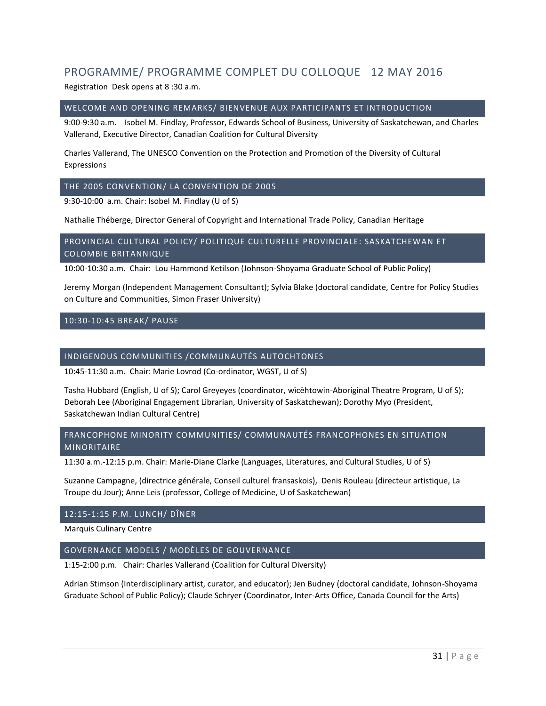## PROGRAMME/ PROGRAMME COMPLET DU COLLOQUE 12 MAY 2016

Registration Desk opens at 8 :30 a.m.

#### WELCOME AND OPENING REMARKS/ BIENVENUE AUX PARTICIPANTS ET INTRODUCTION

9:00-9:30 a.m. Isobel M. Findlay, Professor, Edwards School of Business, University of Saskatchewan, and Charles Vallerand, Executive Director, Canadian Coalition for Cultural Diversity

Charles Vallerand, The UNESCO Convention on the Protection and Promotion of the Diversity of Cultural Expressions

#### THE 2005 CONVENTION/ LA CONVENTION DE 2005

9:30-10:00 a.m. Chair: Isobel M. Findlay (U of S)

Nathalie Théberge, Director General of Copyright and International Trade Policy, Canadian Heritage

#### PROVINCIAL CULTURAL POLICY/ POLITIQUE CULTURELLE PROVINCIALE: SASKATCHEWAN ET COLOMBIE BRITANNIQUE

10:00-10:30 a.m. Chair: Lou Hammond Ketilson (Johnson-Shoyama Graduate School of Public Policy)

Jeremy Morgan (Independent Management Consultant); Sylvia Blake (doctoral candidate, Centre for Policy Studies on Culture and Communities, Simon Fraser University)

#### 10:30-10:45 BREAK/ PAUSE

### INDIGENOUS COMMUNITIES /COMMUNAUTÉS AUTOCHTONES

10:45-11:30 a.m. Chair: Marie Lovrod (Co-ordinator, WGST, U of S)

Tasha Hubbard (English, U of S); Carol Greyeyes (coordinator, wîcêhtowin-Aboriginal Theatre Program, U of S); Deborah Lee (Aboriginal Engagement Librarian, University of Saskatchewan); Dorothy Myo (President, Saskatchewan Indian Cultural Centre)

#### FRANCOPHONE MINORITY COMMUNITIES/ COMMUNAUTÉS FRANCOPHONES EN SITUATION MINORITAIRE

11:30 a.m.-12:15 p.m. Chair: Marie-Diane Clarke (Languages, Literatures, and Cultural Studies, U of S)

Suzanne Campagne, (directrice générale, Conseil culturel fransaskois), Denis Rouleau (directeur artistique, La Troupe du Jour); Anne Leis (professor, College of Medicine, U of Saskatchewan)

#### 12:15-1:15 P.M. LUNCH/ DÎNER

Marquis Culinary Centre

#### GOVERNANCE MODELS / MODÈLES DE GOUVERNANCE

1:15-2:00 p.m. Chair: Charles Vallerand (Coalition for Cultural Diversity)

Adrian Stimson (Interdisciplinary artist, curator, and educator); Jen Budney (doctoral candidate, Johnson-Shoyama Graduate School of Public Policy); Claude Schryer (Coordinator, Inter-Arts Office, Canada Council for the Arts)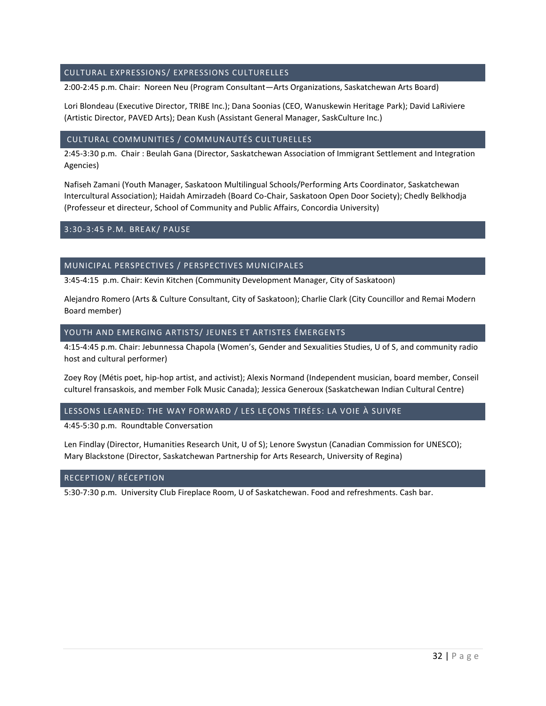#### CULTURAL EXPRESSIONS/ EXPRESSIONS CULTURELLES

2:00-2:45 p.m. Chair: Noreen Neu (Program Consultant—Arts Organizations, Saskatchewan Arts Board)

Lori Blondeau (Executive Director, TRIBE Inc.); Dana Soonias (CEO, Wanuskewin Heritage Park); David LaRiviere (Artistic Director, PAVED Arts); Dean Kush (Assistant General Manager, SaskCulture Inc.)

#### CULTURAL COMMUNITIES / COMMUNAUTÉS CULTURELLES

2:45-3:30 p.m. Chair : Beulah Gana (Director, Saskatchewan Association of Immigrant Settlement and Integration Agencies)

Nafiseh Zamani (Youth Manager, Saskatoon Multilingual Schools/Performing Arts Coordinator, Saskatchewan Intercultural Association); Haidah Amirzadeh (Board Co-Chair, Saskatoon Open Door Society); Chedly Belkhodja (Professeur et directeur, School of Community and Public Affairs, Concordia University)

#### 3:30-3:45 P.M. BREAK/ PAUSE

#### MUNICIPAL PERSPECTIVES / PERSPECTIVES MUNICIPALES

3:45-4:15 p.m. Chair: Kevin Kitchen (Community Development Manager, City of Saskatoon)

Alejandro Romero (Arts & Culture Consultant, City of Saskatoon); Charlie Clark (City Councillor and Remai Modern Board member)

#### YOUTH AND EMERGING ARTISTS/ JEUNES ET ARTISTES ÉMERGENTS

4:15-4:45 p.m. Chair: Jebunnessa Chapola (Women's, Gender and Sexualities Studies, U of S, and community radio host and cultural performer)

Zoey Roy (Métis poet, hip-hop artist, and activist); Alexis Normand (Independent musician, board member, Conseil culturel fransaskois, and member Folk Music Canada); Jessica Generoux (Saskatchewan Indian Cultural Centre)

#### LESSONS LEARNED: THE WAY FORWARD / LES LEÇONS TIRÉES: LA VOIE À SUIVRE

4:45-5:30 p.m. Roundtable Conversation

Len Findlay (Director, Humanities Research Unit, U of S); Lenore Swystun (Canadian Commission for UNESCO); Mary Blackstone (Director, Saskatchewan Partnership for Arts Research, University of Regina)

#### RECEPTION/ RÉCEPTION

5:30-7:30 p.m. University Club Fireplace Room, U of Saskatchewan. Food and refreshments. Cash bar.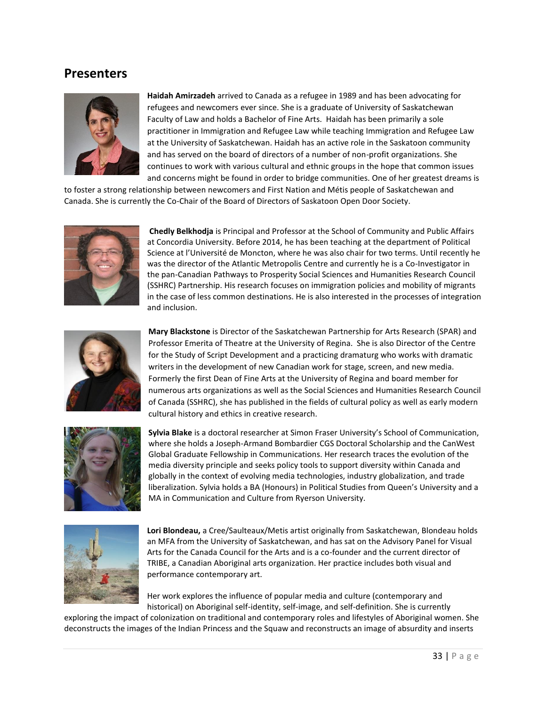## **Presenters**



**Haidah Amirzadeh** arrived to Canada as a refugee in 1989 and has been advocating for refugees and newcomers ever since. She is a graduate of University of Saskatchewan Faculty of Law and holds a Bachelor of Fine Arts. Haidah has been primarily a sole practitioner in Immigration and Refugee Law while teaching Immigration and Refugee Law at the University of Saskatchewan. Haidah has an active role in the Saskatoon community and has served on the board of directors of a number of non-profit organizations. She continues to work with various cultural and ethnic groups in the hope that common issues and concerns might be found in order to bridge communities. One of her greatest dreams is

to foster a strong relationship between newcomers and First Nation and Métis people of Saskatchewan and Canada. She is currently the Co-Chair of the Board of Directors of Saskatoon Open Door Society.



**Chedly Belkhodja** is Principal and Professor at the School of Community and Public Affairs at Concordia University. Before 2014, he has been teaching at the department of Political Science at l'Université de Moncton, where he was also chair for two terms. Until recently he was the director of the Atlantic Metropolis Centre and currently he is a Co-Investigator in the pan-Canadian Pathways to Prosperity Social Sciences and Humanities Research Council (SSHRC) Partnership. His research focuses on immigration policies and mobility of migrants in the case of less common destinations. He is also interested in the processes of integration and inclusion.



**Mary Blackstone** is Director of the Saskatchewan Partnership for Arts Research (SPAR) and Professor Emerita of Theatre at the University of Regina. She is also Director of the Centre for the Study of Script Development and a practicing dramaturg who works with dramatic writers in the development of new Canadian work for stage, screen, and new media. Formerly the first Dean of Fine Arts at the University of Regina and board member for numerous arts organizations as well as the Social Sciences and Humanities Research Council of Canada (SSHRC), she has published in the fields of cultural policy as well as early modern cultural history and ethics in creative research.



**Sylvia Blake** is a doctoral researcher at Simon Fraser University's School of Communication, where she holds a Joseph-Armand Bombardier CGS Doctoral Scholarship and the CanWest Global Graduate Fellowship in Communications. Her research traces the evolution of the media diversity principle and seeks policy tools to support diversity within Canada and globally in the context of evolving media technologies, industry globalization, and trade liberalization. Sylvia holds a BA (Honours) in Political Studies from Queen's University and a MA in Communication and Culture from Ryerson University.



**Lori Blondeau,** a Cree/Saulteaux/Metis artist originally from Saskatchewan, Blondeau holds an MFA from the University of Saskatchewan, and has sat on the Advisory Panel for Visual Arts for the Canada Council for the Arts and is a co-founder and the current director of TRIBE, a Canadian Aboriginal arts organization. Her practice includes both visual and performance contemporary art.

Her work explores the influence of popular media and culture (contemporary and historical) on Aboriginal self-identity, self-image, and self-definition. She is currently

exploring the impact of colonization on traditional and contemporary roles and lifestyles of Aboriginal women. She deconstructs the images of the Indian Princess and the Squaw and reconstructs an image of absurdity and inserts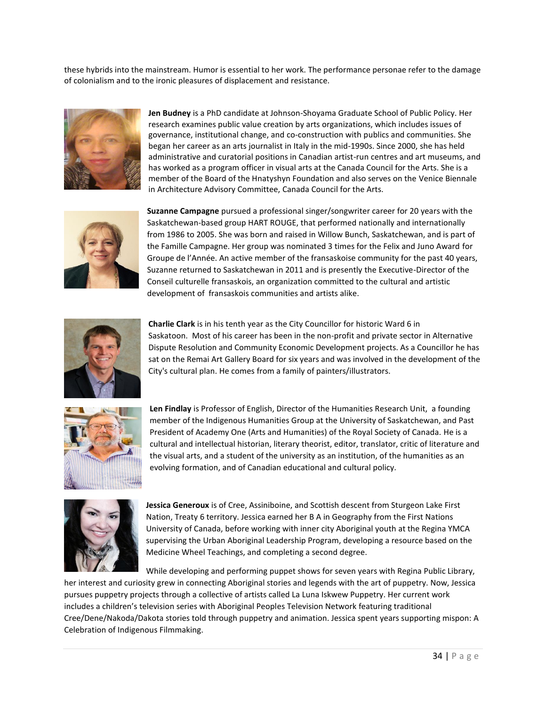these hybrids into the mainstream. Humor is essential to her work. The performance personae refer to the damage of colonialism and to the ironic pleasures of displacement and resistance.



**Jen Budney** is a PhD candidate at Johnson-Shoyama Graduate School of Public Policy. Her research examines public value creation by arts organizations, which includes issues of governance, institutional change, and co-construction with publics and communities. She began her career as an arts journalist in Italy in the mid-1990s. Since 2000, she has held administrative and curatorial positions in Canadian artist-run centres and art museums, and has worked as a program officer in visual arts at the Canada Council for the Arts. She is a member of the Board of the Hnatyshyn Foundation and also serves on the Venice Biennale in Architecture Advisory Committee, Canada Council for the Arts.



**Suzanne Campagne** pursued a professional singer/songwriter career for 20 years with the Saskatchewan-based group HART ROUGE, that performed nationally and internationally from 1986 to 2005. She was born and raised in Willow Bunch, Saskatchewan, and is part of the Famille Campagne. Her group was nominated 3 times for the Felix and Juno Award for Groupe de l'Année. An active member of the fransaskoise community for the past 40 years, Suzanne returned to Saskatchewan in 2011 and is presently the Executive-Director of the Conseil culturelle fransaskois, an organization committed to the cultural and artistic development of fransaskois communities and artists alike.



**Charlie Clark** is in his tenth year as the City Councillor for historic Ward 6 in Saskatoon. Most of his career has been in the non-profit and private sector in Alternative Dispute Resolution and Community Economic Development projects. As a Councillor he has sat on the Remai Art Gallery Board for six years and was involved in the development of the City's cultural plan. He comes from a family of painters/illustrators.



**Len Findlay** is Professor of English, Director of the Humanities Research Unit, a founding member of the Indigenous Humanities Group at the University of Saskatchewan, and Past President of Academy One (Arts and Humanities) of the Royal Society of Canada. He is a cultural and intellectual historian, literary theorist, editor, translator, critic of literature and the visual arts, and a student of the university as an institution, of the humanities as an evolving formation, and of Canadian educational and cultural policy.



**Jessica Generoux** is of Cree, Assiniboine, and Scottish descent from Sturgeon Lake First Nation, Treaty 6 territory. Jessica earned her B A in Geography from the First Nations University of Canada, before working with inner city Aboriginal youth at the Regina YMCA supervising the Urban Aboriginal Leadership Program, developing a resource based on the Medicine Wheel Teachings, and completing a second degree.

While developing and performing puppet shows for seven years with Regina Public Library, her interest and curiosity grew in connecting Aboriginal stories and legends with the art of puppetry. Now, Jessica pursues puppetry projects through a collective of artists called La Luna Iskwew Puppetry. Her current work includes a children's television series with Aboriginal Peoples Television Network featuring traditional Cree/Dene/Nakoda/Dakota stories told through puppetry and animation. Jessica spent years supporting mispon: A Celebration of Indigenous Filmmaking.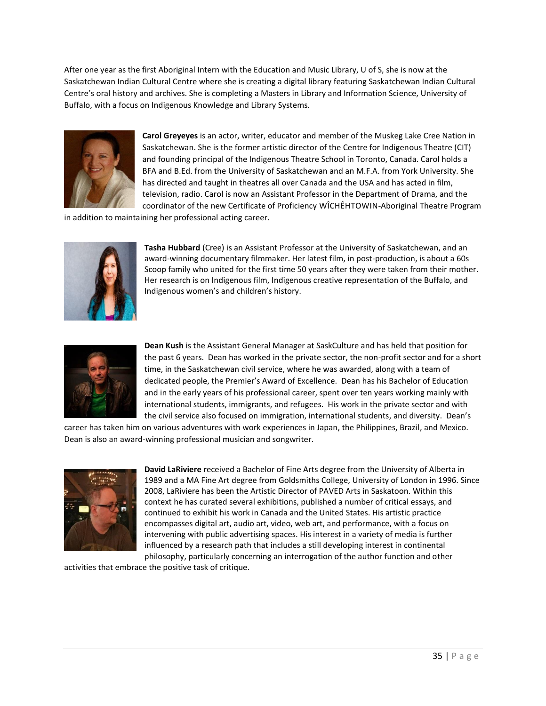After one year as the first Aboriginal Intern with the Education and Music Library, U of S, she is now at the Saskatchewan Indian Cultural Centre where she is creating a digital library featuring Saskatchewan Indian Cultural Centre's oral history and archives. She is completing a Masters in Library and Information Science, University of Buffalo, with a focus on Indigenous Knowledge and Library Systems.



**Carol Greyeyes** is an actor, writer, educator and member of the Muskeg Lake Cree Nation in Saskatchewan. She is the former artistic director of the Centre for Indigenous Theatre (CIT) and founding principal of the Indigenous Theatre School in Toronto, Canada. Carol holds a BFA and B.Ed. from the University of Saskatchewan and an M.F.A. from York University. She has directed and taught in theatres all over Canada and the USA and has acted in film, television, radio. Carol is now an Assistant Professor in the Department of Drama, and the coordinator of the new Certificate of Proficiency WÎCHÊHTOWIN-Aboriginal Theatre Program

in addition to maintaining her professional acting career.



**Tasha Hubbard** (Cree) is an Assistant Professor at the University of Saskatchewan, and an award-winning documentary filmmaker. Her latest film, in post-production, is about a 60s Scoop family who united for the first time 50 years after they were taken from their mother. Her research is on Indigenous film, Indigenous creative representation of the Buffalo, and Indigenous women's and children's history.



**Dean Kush** is the Assistant General Manager at SaskCulture and has held that position for the past 6 years. Dean has worked in the private sector, the non-profit sector and for a short time, in the Saskatchewan civil service, where he was awarded, along with a team of dedicated people, the Premier's Award of Excellence. Dean has his Bachelor of Education and in the early years of his professional career, spent over ten years working mainly with international students, immigrants, and refugees. His work in the private sector and with the civil service also focused on immigration, international students, and diversity. Dean's

career has taken him on various adventures with work experiences in Japan, the Philippines, Brazil, and Mexico. Dean is also an award-winning professional musician and songwriter.



**David LaRiviere** received a Bachelor of Fine Arts degree from the University of Alberta in 1989 and a MA Fine Art degree from Goldsmiths College, University of London in 1996. Since 2008, LaRiviere has been the Artistic Director of PAVED Arts in Saskatoon. Within this context he has curated several exhibitions, published a number of critical essays, and continued to exhibit his work in Canada and the United States. His artistic practice encompasses digital art, audio art, video, web art, and performance, with a focus on intervening with public advertising spaces. His interest in a variety of media is further influenced by a research path that includes a still developing interest in continental philosophy, particularly concerning an interrogation of the author function and other

activities that embrace the positive task of critique.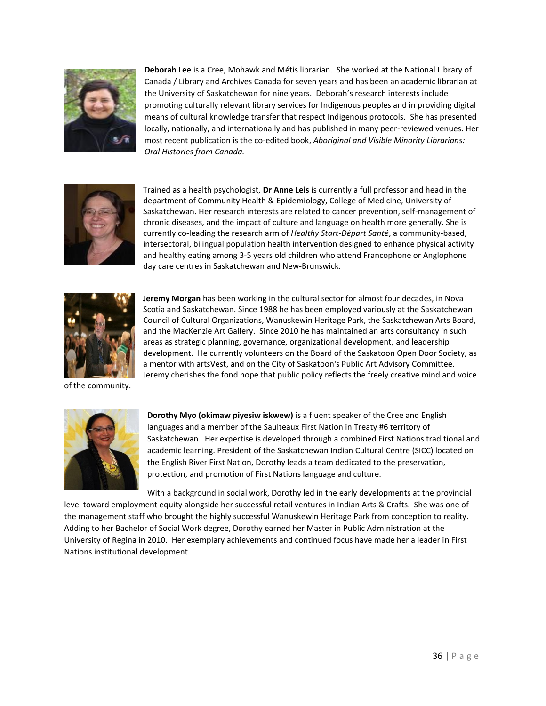

**Deborah Lee** is a Cree, Mohawk and Métis librarian. She worked at the National Library of Canada / Library and Archives Canada for seven years and has been an academic librarian at the University of Saskatchewan for nine years. Deborah's research interests include promoting culturally relevant library services for Indigenous peoples and in providing digital means of cultural knowledge transfer that respect Indigenous protocols. She has presented locally, nationally, and internationally and has published in many peer-reviewed venues. Her most recent publication is the co-edited book, *Aboriginal and Visible Minority Librarians: Oral Histories from Canada.*



Trained as a health psychologist, **Dr Anne Leis** is currently a full professor and head in the department of Community Health & Epidemiology, College of Medicine, University of Saskatchewan. Her research interests are related to cancer prevention, self-management of chronic diseases, and the impact of culture and language on health more generally. She is currently co-leading the research arm of *Healthy Start-Départ Santé*, a community-based, intersectoral, bilingual population health intervention designed to enhance physical activity and healthy eating among 3-5 years old children who attend Francophone or Anglophone day care centres in Saskatchewan and New-Brunswick.



**Jeremy Morgan** has been working in the cultural sector for almost four decades, in Nova Scotia and Saskatchewan. Since 1988 he has been employed variously at the Saskatchewan Council of Cultural Organizations, Wanuskewin Heritage Park, the Saskatchewan Arts Board, and the MacKenzie Art Gallery. Since 2010 he has maintained an arts consultancy in such areas as strategic planning, governance, organizational development, and leadership development. He currently volunteers on the Board of the Saskatoon Open Door Society, as a mentor with artsVest, and on the City of Saskatoon's Public Art Advisory Committee. Jeremy cherishes the fond hope that public policy reflects the freely creative mind and voice

of the community.



**Dorothy Myo (okimaw piyesiw iskwew)** is a fluent speaker of the Cree and English languages and a member of the Saulteaux First Nation in Treaty #6 territory of Saskatchewan. Her expertise is developed through a combined First Nations traditional and academic learning. President of the Saskatchewan Indian Cultural Centre (SICC) located on the English River First Nation, Dorothy leads a team dedicated to the preservation, protection, and promotion of First Nations language and culture.

With a background in social work, Dorothy led in the early developments at the provincial level toward employment equity alongside her successful retail ventures in Indian Arts & Crafts. She was one of the management staff who brought the highly successful Wanuskewin Heritage Park from conception to reality. Adding to her Bachelor of Social Work degree, Dorothy earned her Master in Public Administration at the University of Regina in 2010. Her exemplary achievements and continued focus have made her a leader in First Nations institutional development.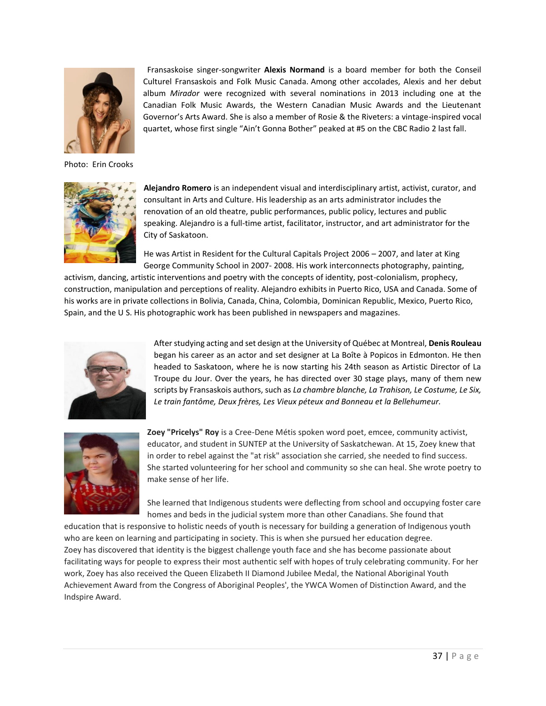

Photo: Erin Crooks



 Fransaskoise singer-songwriter **Alexis Normand** is a board member for both the Conseil Culturel Fransaskois and Folk Music Canada. Among other accolades, Alexis and her debut album *Mirador* were recognized with several nominations in 2013 including one at the Canadian Folk Music Awards, the Western Canadian Music Awards and the Lieutenant Governor's Arts Award. She is also a member of Rosie & the Riveters: a vintage-inspired vocal quartet, whose first single "Ain't Gonna Bother" peaked at #5 on the CBC Radio 2 last fall.

**Alejandro Romero** is an independent visual and interdisciplinary artist, activist, curator, and consultant in Arts and Culture. His leadership as an arts administrator includes the renovation of an old theatre, public performances, public policy, lectures and public speaking. Alejandro is a full-time artist, facilitator, instructor, and art administrator for the City of Saskatoon.

He was Artist in Resident for the Cultural Capitals Project 2006 – 2007, and later at King George Community School in 2007- 2008. His work interconnects photography, painting,

activism, dancing, artistic interventions and poetry with the concepts of identity, post-colonialism, prophecy, construction, manipulation and perceptions of reality. Alejandro exhibits in Puerto Rico, USA and Canada. Some of his works are in private collections in Bolivia, Canada, China, Colombia, Dominican Republic, Mexico, Puerto Rico, Spain, and the U S. His photographic work has been published in newspapers and magazines.



After studying acting and set design at the University of Québec at Montreal, **Denis Rouleau** began his career as an actor and set designer at La Boîte à Popicos in Edmonton. He then headed to Saskatoon, where he is now starting his 24th season as Artistic Director of La Troupe du Jour. Over the years, he has directed over 30 stage plays, many of them new scripts by Fransaskois authors, such as *La chambre blanche, La Trahison, Le Costume, Le Six, Le train fantôme, Deux frères, Les Vieux péteux and Bonneau et la Bellehumeur.*



**Zoey "Pricelys" Roy** is a Cree-Dene Métis spoken word poet, emcee, community activist, educator, and student in SUNTEP at the University of Saskatchewan. At 15, Zoey knew that in order to rebel against the "at risk" association she carried, she needed to find success. She started volunteering for her school and community so she can heal. She wrote poetry to make sense of her life.

She learned that Indigenous students were deflecting from school and occupying foster care homes and beds in the judicial system more than other Canadians. She found that

education that is responsive to holistic needs of youth is necessary for building a generation of Indigenous youth who are keen on learning and participating in society. This is when she pursued her education degree. Zoey has discovered that identity is the biggest challenge youth face and she has become passionate about facilitating ways for people to express their most authentic self with hopes of truly celebrating community. For her work, Zoey has also received the Queen Elizabeth II Diamond Jubilee Medal, the National Aboriginal Youth Achievement Award from the Congress of Aboriginal Peoples', the YWCA Women of Distinction Award, and the Indspire Award.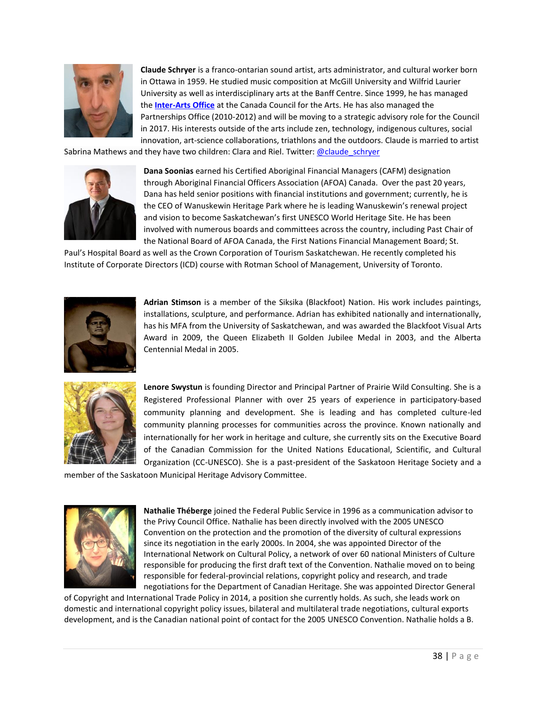

**Claude Schryer** is a franco-ontarian sound artist, arts administrator, and cultural worker born in Ottawa in 1959. He studied music composition at McGill University and Wilfrid Laurier University as well as interdisciplinary arts at the Banff Centre. Since 1999, he has managed the **[Inter-Arts Office](http://canadacouncil.ca/inter-arts-office)** at the Canada Council for the Arts. He has also managed the Partnerships Office (2010-2012) and will be moving to a strategic advisory role for the Council in 2017. His interests outside of the arts include zen, technology, indigenous cultures, social innovation, art-science collaborations, triathlons and the outdoors. Claude is married to artist

Sabrina Mathews and they have two children: Clara and Riel. Twitter[: @claude\\_schryer](https://twitter.com/claude_schryer)



**Dana Soonias** earned his Certified Aboriginal Financial Managers (CAFM) designation through Aboriginal Financial Officers Association (AFOA) Canada. Over the past 20 years, Dana has held senior positions with financial institutions and government; currently, he is the CEO of Wanuskewin Heritage Park where he is leading Wanuskewin's renewal project and vision to become Saskatchewan's first UNESCO World Heritage Site. He has been involved with numerous boards and committees across the country, including Past Chair of the National Board of AFOA Canada, the First Nations Financial Management Board; St.

Paul's Hospital Board as well as the Crown Corporation of Tourism Saskatchewan. He recently completed his Institute of Corporate Directors (ICD) course with Rotman School of Management, University of Toronto.



**Adrian Stimson** is a member of the Siksika (Blackfoot) Nation. His work includes paintings, installations, sculpture, and performance. Adrian has exhibited nationally and internationally, has his MFA from the University of Saskatchewan, and was awarded the Blackfoot Visual Arts Award in 2009, the Queen Elizabeth II Golden Jubilee Medal in 2003, and the Alberta Centennial Medal in 2005.



**Lenore Swystun** is founding Director and Principal Partner of Prairie Wild Consulting. She is a Registered Professional Planner with over 25 years of experience in participatory-based community planning and development. She is leading and has completed culture-led community planning processes for communities across the province. Known nationally and internationally for her work in heritage and culture, she currently sits on the Executive Board of the Canadian Commission for the United Nations Educational, Scientific, and Cultural Organization (CC-UNESCO). She is a past-president of the Saskatoon Heritage Society and a

member of the Saskatoon Municipal Heritage Advisory Committee.



**Nathalie Théberge** joined the Federal Public Service in 1996 as a communication advisor to the Privy Council Office. Nathalie has been directly involved with the 2005 UNESCO Convention on the protection and the promotion of the diversity of cultural expressions since its negotiation in the early 2000s. In 2004, she was appointed Director of the International Network on Cultural Policy, a network of over 60 national Ministers of Culture responsible for producing the first draft text of the Convention. Nathalie moved on to being responsible for federal-provincial relations, copyright policy and research, and trade negotiations for the Department of Canadian Heritage. She was appointed Director General

of Copyright and International Trade Policy in 2014, a position she currently holds. As such, she leads work on domestic and international copyright policy issues, bilateral and multilateral trade negotiations, cultural exports development, and is the Canadian national point of contact for the 2005 UNESCO Convention. Nathalie holds a B.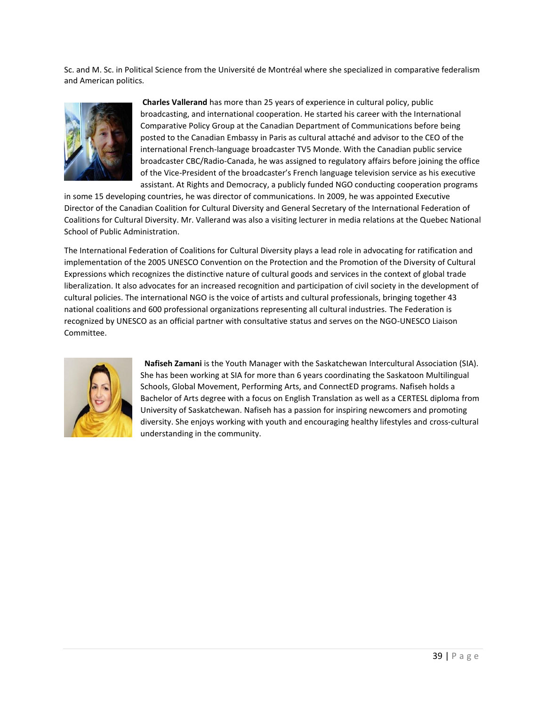Sc. and M. Sc. in Political Science from the Université de Montréal where she specialized in comparative federalism and American politics.



**Charles Vallerand** has more than 25 years of experience in cultural policy, public broadcasting, and international cooperation. He started his career with the International Comparative Policy Group at the Canadian Department of Communications before being posted to the Canadian Embassy in Paris as cultural attaché and advisor to the CEO of the international French-language broadcaster TV5 Monde. With the Canadian public service broadcaster CBC/Radio-Canada, he was assigned to regulatory affairs before joining the office of the Vice-President of the broadcaster's French language television service as his executive assistant. At Rights and Democracy, a publicly funded NGO conducting cooperation programs

in some 15 developing countries, he was director of communications. In 2009, he was appointed Executive Director of the Canadian Coalition for Cultural Diversity and General Secretary of the International Federation of Coalitions for Cultural Diversity. Mr. Vallerand was also a visiting lecturer in media relations at the Quebec National School of Public Administration.

The International Federation of Coalitions for Cultural Diversity plays a lead role in advocating for ratification and implementation of the 2005 UNESCO Convention on the Protection and the Promotion of the Diversity of Cultural Expressions which recognizes the distinctive nature of cultural goods and services in the context of global trade liberalization. It also advocates for an increased recognition and participation of civil society in the development of cultural policies. The international NGO is the voice of artists and cultural professionals, bringing together 43 national coalitions and 600 professional organizations representing all cultural industries. The Federation is recognized by UNESCO as an official partner with consultative status and serves on the NGO-UNESCO Liaison Committee.



 **Nafiseh Zamani** is the Youth Manager with the Saskatchewan Intercultural Association (SIA). She has been working at SIA for more than 6 years coordinating the Saskatoon Multilingual Schools, Global Movement, Performing Arts, and ConnectED programs. Nafiseh holds a Bachelor of Arts degree with a focus on English Translation as well as a CERTESL diploma from University of Saskatchewan. Nafiseh has a passion for inspiring newcomers and promoting diversity. She enjoys working with youth and encouraging healthy lifestyles and cross-cultural understanding in the community.